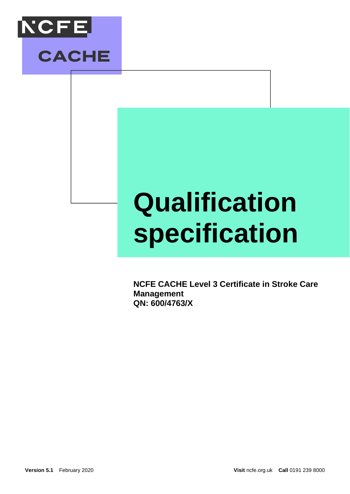



# **Qualification specification**

**NCFE CACHE Level 3 Certificate in Stroke Care Management QN: 600/4763/X**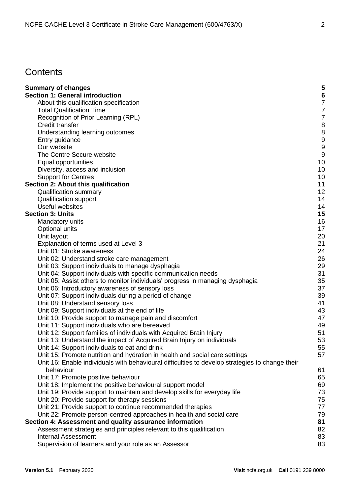# **Contents**

| <b>Summary of changes</b>                                                                       | 5  |
|-------------------------------------------------------------------------------------------------|----|
| <b>Section 1: General introduction</b>                                                          | 6  |
| About this qualification specification                                                          | 7  |
| <b>Total Qualification Time</b>                                                                 | 7  |
| Recognition of Prior Learning (RPL)                                                             | 7  |
| Credit transfer                                                                                 | 8  |
| Understanding learning outcomes                                                                 | 8  |
| Entry guidance                                                                                  | 9  |
| Our website                                                                                     | 9  |
| The Centre Secure website                                                                       | 9  |
| Equal opportunities                                                                             | 10 |
| Diversity, access and inclusion                                                                 | 10 |
| <b>Support for Centres</b>                                                                      | 10 |
| Section 2: About this qualification                                                             | 11 |
| <b>Qualification summary</b>                                                                    | 12 |
| <b>Qualification support</b>                                                                    | 14 |
| Useful websites                                                                                 | 14 |
| <b>Section 3: Units</b>                                                                         | 15 |
| Mandatory units                                                                                 | 16 |
| Optional units                                                                                  | 17 |
| Unit layout                                                                                     | 20 |
| Explanation of terms used at Level 3                                                            | 21 |
| Unit 01: Stroke awareness                                                                       | 24 |
| Unit 02: Understand stroke care management                                                      | 26 |
| Unit 03: Support individuals to manage dysphagia                                                | 29 |
| Unit 04: Support individuals with specific communication needs                                  | 31 |
| Unit 05: Assist others to monitor individuals' progress in managing dysphagia                   | 35 |
| Unit 06: Introductory awareness of sensory loss                                                 | 37 |
| Unit 07: Support individuals during a period of change                                          | 39 |
| Unit 08: Understand sensory loss                                                                | 41 |
| Unit 09: Support individuals at the end of life                                                 | 43 |
| Unit 10: Provide support to manage pain and discomfort                                          | 47 |
| Unit 11: Support individuals who are bereaved                                                   | 49 |
| Unit 12: Support families of individuals with Acquired Brain Injury                             | 51 |
| Unit 13: Understand the impact of Acquired Brain Injury on individuals                          | 53 |
| Unit 14: Support individuals to eat and drink                                                   | 55 |
| Unit 15: Promote nutrition and hydration in health and social care settings                     | 57 |
| Unit 16: Enable individuals with behavioural difficulties to develop strategies to change their |    |
| behaviour                                                                                       | 61 |
| Unit 17: Promote positive behaviour                                                             | 65 |
| Unit 18: Implement the positive behavioural support model                                       | 69 |
| Unit 19: Provide support to maintain and develop skills for everyday life                       | 73 |
| Unit 20: Provide support for therapy sessions                                                   | 75 |
| Unit 21: Provide support to continue recommended therapies                                      | 77 |
| Unit 22: Promote person-centred approaches in health and social care                            | 79 |
| Section 4: Assessment and quality assurance information                                         | 81 |
| Assessment strategies and principles relevant to this qualification                             | 82 |
| <b>Internal Assessment</b>                                                                      | 83 |
| Supervision of learners and your role as an Assessor                                            | 83 |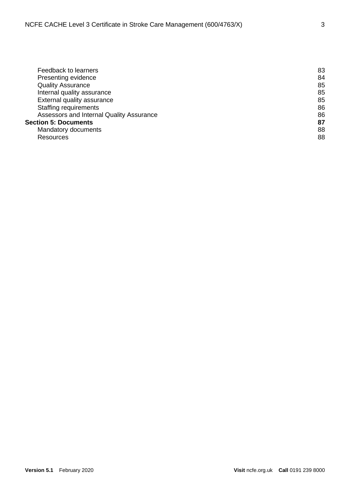| Feedback to learners                     | 83 |
|------------------------------------------|----|
| Presenting evidence                      | 84 |
| <b>Quality Assurance</b>                 | 85 |
| Internal quality assurance               | 85 |
| External quality assurance               | 85 |
| <b>Staffing requirements</b>             | 86 |
| Assessors and Internal Quality Assurance | 86 |
| <b>Section 5: Documents</b>              | 87 |
| Mandatory documents                      | 88 |
| Resources                                | 88 |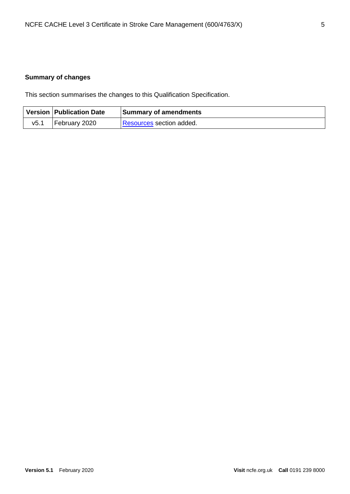# <span id="page-4-0"></span>**Summary of changes**

This section summarises the changes to this Qualification Specification.

|      | Version   Publication Date | <b>Summary of amendments</b> |
|------|----------------------------|------------------------------|
| v5.1 | February 2020              | Resources section added.     |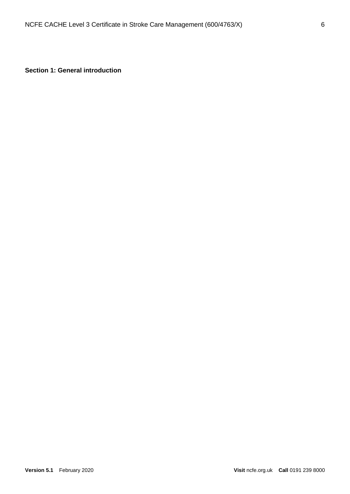<span id="page-5-0"></span>**Section 1: General introduction**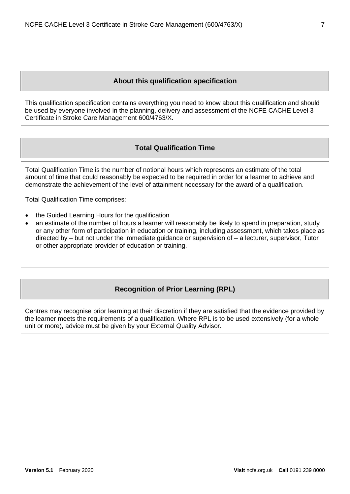# **About this qualification specification**

<span id="page-6-0"></span>This qualification specification contains everything you need to know about this qualification and should be used by everyone involved in the planning, delivery and assessment of the NCFE CACHE Level 3 Certificate in Stroke Care Management 600/4763/X.

# **Total Qualification Time**

<span id="page-6-1"></span>Total Qualification Time is the number of notional hours which represents an estimate of the total amount of time that could reasonably be expected to be required in order for a learner to achieve and demonstrate the achievement of the level of attainment necessary for the award of a qualification.

Total Qualification Time comprises:

- the Guided Learning Hours for the qualification
- an estimate of the number of hours a learner will reasonably be likely to spend in preparation, study or any other form of participation in education or training, including assessment, which takes place as directed by – but not under the immediate guidance or supervision of – a lecturer, supervisor, Tutor or other appropriate provider of education or training.

## **Recognition of Prior Learning (RPL)**

<span id="page-6-2"></span>Centres may recognise prior learning at their discretion if they are satisfied that the evidence provided by the learner meets the requirements of a qualification. Where RPL is to be used extensively (for a whole unit or more), advice must be given by your External Quality Advisor.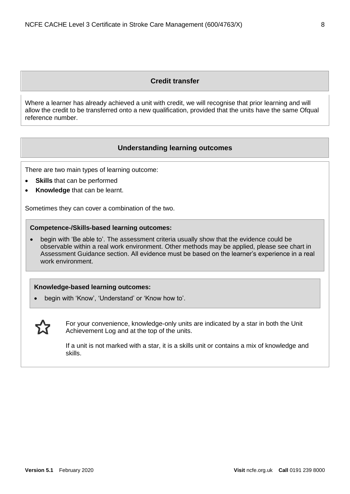#### **Credit transfer**

<span id="page-7-0"></span>Where a learner has already achieved a unit with credit, we will recognise that prior learning and will allow the credit to be transferred onto a new qualification, provided that the units have the same Ofqual reference number.

#### **Understanding learning outcomes**

<span id="page-7-1"></span>There are two main types of learning outcome:

- **Skills** that can be performed
- **Knowledge** that can be learnt.

Sometimes they can cover a combination of the two.

#### **Competence-/Skills-based learning outcomes:**

• begin with 'Be able to'. The assessment criteria usually show that the evidence could be observable within a real work environment. Other methods may be applied, please see chart in Assessment Guidance section. All evidence must be based on the learner's experience in a real work environment.

#### **Knowledge-based learning outcomes:**

• begin with 'Know', 'Understand' or 'Know how to'.



For your convenience, knowledge-only units are indicated by a star in both the Unit Achievement Log and at the top of the units.

If a unit is not marked with a star, it is a skills unit or contains a mix of knowledge and skills.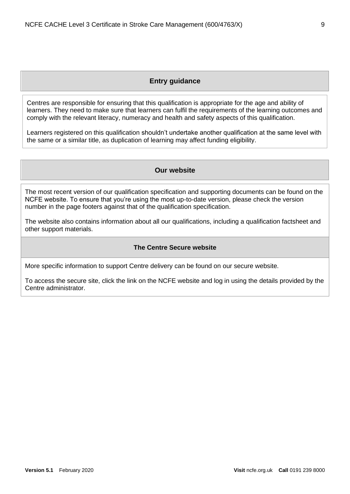#### **Entry guidance**

<span id="page-8-0"></span>Centres are responsible for ensuring that this qualification is appropriate for the age and ability of learners. They need to make sure that learners can fulfil the requirements of the learning outcomes and comply with the relevant literacy, numeracy and health and safety aspects of this qualification.

<span id="page-8-1"></span>Learners registered on this qualification shouldn't undertake another qualification at the same level with the same or a similar title, as duplication of learning may affect funding eligibility.

#### **Our website**

The most recent version of our qualification specification and supporting documents can be found on the NCFE website. To ensure that you're using the most up-to-date version, please check the version number in the page footers against that of the qualification specification.

The website also contains information about all our qualifications, including a qualification factsheet and other support materials.

#### **The Centre Secure website**

<span id="page-8-2"></span>More specific information to support Centre delivery can be found on our secure website.

To access the secure site, click the link on the NCFE website and log in using the details provided by the Centre administrator.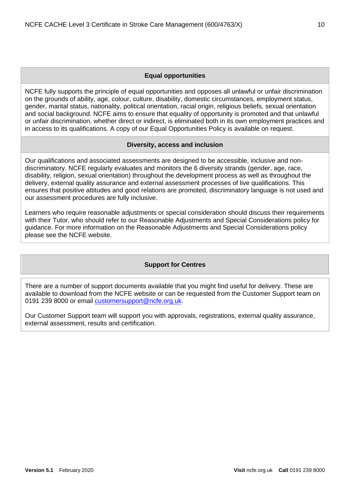#### **Equal opportunities**

<span id="page-9-0"></span>NCFE fully supports the principle of equal opportunities and opposes all unlawful or unfair discrimination on the grounds of ability, age, colour, culture, disability, domestic circumstances, employment status, gender, marital status, nationality, political orientation, racial origin, religious beliefs, sexual orientation and social background. NCFE aims to ensure that equality of opportunity is promoted and that unlawful or unfair discrimination, whether direct or indirect, is eliminated both in its own employment practices and in access to its qualifications. A copy of our Equal Opportunities Policy is available on request.

#### **Diversity, access and inclusion**

<span id="page-9-1"></span>Our qualifications and associated assessments are designed to be accessible, inclusive and nondiscriminatory. NCFE regularly evaluates and monitors the 6 diversity strands (gender, age, race, disability, religion, sexual orientation) throughout the development process as well as throughout the delivery, external quality assurance and external assessment processes of live qualifications. This ensures that positive attitudes and good relations are promoted, discriminatory language is not used and our assessment procedures are fully inclusive.

Learners who require reasonable adjustments or special consideration should discuss their requirements with their Tutor, who should refer to our Reasonable Adjustments and Special Considerations policy for guidance. For more information on the Reasonable Adjustments and Special Considerations policy please see the NCFE website.

#### **Support for Centres**

<span id="page-9-2"></span>There are a number of support documents available that you might find useful for delivery. These are available to download from the NCFE website or can be requested from the Customer Support team on 0191 239 8000 or email [customersupport@ncfe.org.uk.](file://///citygate.local/data/QualityControlled/Rebrand%202021/Health,%20Public%20Services%20and%20Care/501-0037-3/customersupport@ncfe.org.uk)

Our Customer Support team will support you with approvals, registrations, external quality assurance, external assessment, results and certification.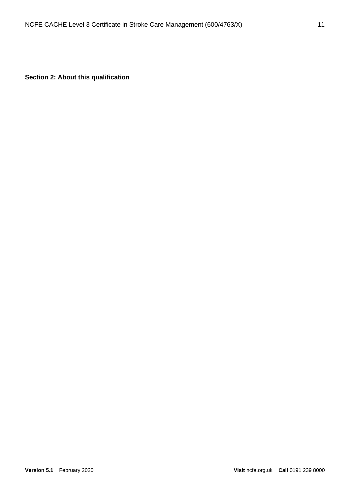<span id="page-10-0"></span>**Section 2: About this qualification**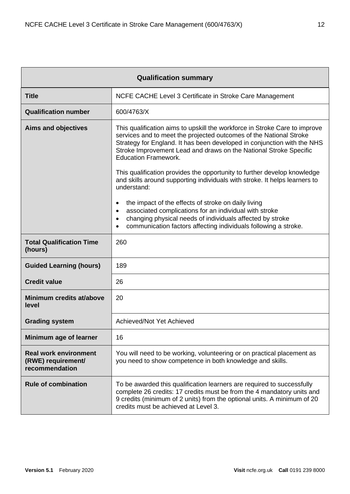|                                                                      | <b>Qualification summary</b>                                                                                                                                                                                                                                                                                                                                                                                |  |  |  |  |
|----------------------------------------------------------------------|-------------------------------------------------------------------------------------------------------------------------------------------------------------------------------------------------------------------------------------------------------------------------------------------------------------------------------------------------------------------------------------------------------------|--|--|--|--|
| <b>Title</b>                                                         | NCFE CACHE Level 3 Certificate in Stroke Care Management                                                                                                                                                                                                                                                                                                                                                    |  |  |  |  |
| <b>Qualification number</b>                                          | 600/4763/X                                                                                                                                                                                                                                                                                                                                                                                                  |  |  |  |  |
| <b>Aims and objectives</b>                                           | This qualification aims to upskill the workforce in Stroke Care to improve<br>services and to meet the projected outcomes of the National Stroke<br>Strategy for England. It has been developed in conjunction with the NHS<br>Stroke Improvement Lead and draws on the National Stroke Specific<br><b>Education Framework.</b><br>This qualification provides the opportunity to further develop knowledge |  |  |  |  |
|                                                                      | and skills around supporting individuals with stroke. It helps learners to<br>understand:                                                                                                                                                                                                                                                                                                                   |  |  |  |  |
|                                                                      | the impact of the effects of stroke on daily living<br>٠<br>associated complications for an individual with stroke<br>$\bullet$<br>changing physical needs of individuals affected by stroke<br>$\bullet$<br>communication factors affecting individuals following a stroke.<br>$\bullet$                                                                                                                   |  |  |  |  |
| <b>Total Qualification Time</b><br>(hours)                           | 260                                                                                                                                                                                                                                                                                                                                                                                                         |  |  |  |  |
| <b>Guided Learning (hours)</b>                                       | 189                                                                                                                                                                                                                                                                                                                                                                                                         |  |  |  |  |
| <b>Credit value</b>                                                  | 26                                                                                                                                                                                                                                                                                                                                                                                                          |  |  |  |  |
| Minimum credits at/above<br>level                                    | 20                                                                                                                                                                                                                                                                                                                                                                                                          |  |  |  |  |
| <b>Grading system</b>                                                | Achieved/Not Yet Achieved                                                                                                                                                                                                                                                                                                                                                                                   |  |  |  |  |
| Minimum age of learner                                               | 16                                                                                                                                                                                                                                                                                                                                                                                                          |  |  |  |  |
| <b>Real work environment</b><br>(RWE) requirement/<br>recommendation | You will need to be working, volunteering or on practical placement as<br>you need to show competence in both knowledge and skills.                                                                                                                                                                                                                                                                         |  |  |  |  |
| <b>Rule of combination</b>                                           | To be awarded this qualification learners are required to successfully<br>complete 26 credits: 17 credits must be from the 4 mandatory units and<br>9 credits (minimum of 2 units) from the optional units. A minimum of 20<br>credits must be achieved at Level 3.                                                                                                                                         |  |  |  |  |

<span id="page-11-0"></span>r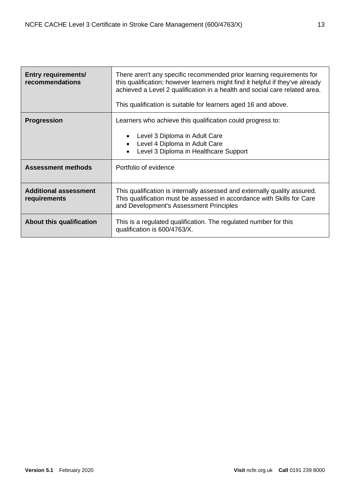| <b>Entry requirements/</b><br>recommendations                                    | There aren't any specific recommended prior learning requirements for<br>this qualification; however learners might find it helpful if they've already<br>achieved a Level 2 qualification in a health and social care related area.<br>This qualification is suitable for learners aged 16 and above. |  |
|----------------------------------------------------------------------------------|--------------------------------------------------------------------------------------------------------------------------------------------------------------------------------------------------------------------------------------------------------------------------------------------------------|--|
| <b>Progression</b><br>Learners who achieve this qualification could progress to: |                                                                                                                                                                                                                                                                                                        |  |
|                                                                                  | Level 3 Diploma in Adult Care<br>Level 4 Diploma in Adult Care<br>Level 3 Diploma in Healthcare Support                                                                                                                                                                                                |  |
| <b>Assessment methods</b>                                                        | Portfolio of evidence                                                                                                                                                                                                                                                                                  |  |
| <b>Additional assessment</b><br>requirements                                     | This qualification is internally assessed and externally quality assured.<br>This qualification must be assessed in accordance with Skills for Care<br>and Development's Assessment Principles                                                                                                         |  |
| About this qualification                                                         | This is a regulated qualification. The regulated number for this<br>qualification is 600/4763/X.                                                                                                                                                                                                       |  |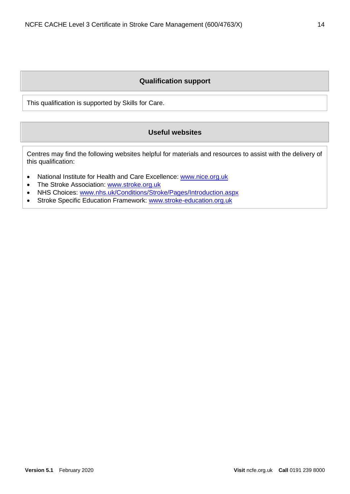## **Qualification support**

<span id="page-13-1"></span><span id="page-13-0"></span>This qualification is supported by Skills for Care.

#### **Useful websites**

Centres may find the following websites helpful for materials and resources to assist with the delivery of this qualification:

- National Institute for Health and Care Excellence: [www.nice.org.uk](http://www.nice.org.uk/)
- The Stroke Association: [www.stroke.org.uk](http://www.stroke.org.uk/)
- NHS Choices: [www.nhs.uk/Conditions/Stroke/Pages/Introduction.aspx](http://www.nhs.uk/Conditions/Stroke/Pages/Introduction.aspx)
- Stroke Specific Education Framework: [www.stroke-education.org.uk](http://www.stroke-education.org.uk/)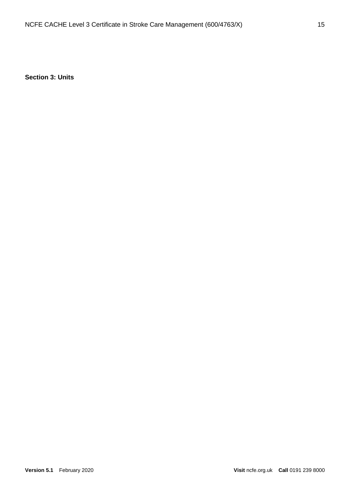<span id="page-14-0"></span>**Section 3: Units**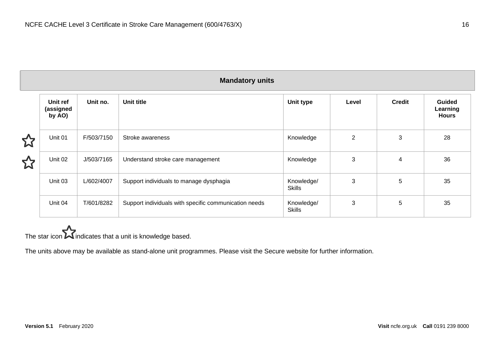|   |                                 |            | <b>Mandatory units</b>                                |                             |                |               |                                           |
|---|---------------------------------|------------|-------------------------------------------------------|-----------------------------|----------------|---------------|-------------------------------------------|
|   | Unit ref<br>(assigned<br>by AO) | Unit no.   | Unit title                                            | Unit type                   | Level          | <b>Credit</b> | <b>Guided</b><br>Learning<br><b>Hours</b> |
| 公 | Unit 01                         | F/503/7150 | Stroke awareness                                      | Knowledge                   | $\overline{2}$ | 3             | 28                                        |
| ☆ | Unit 02                         | J/503/7165 | Understand stroke care management                     | Knowledge                   | 3              | 4             | 36                                        |
|   | Unit 03                         | L/602/4007 | Support individuals to manage dysphagia               | Knowledge/<br><b>Skills</b> | 3              | 5             | 35                                        |
|   | Unit 04                         | T/601/8282 | Support individuals with specific communication needs | Knowledge/<br><b>Skills</b> | 3              | 5             | 35                                        |

# <span id="page-15-0"></span>The star icon  $\sum$  indicates that a unit is knowledge based.

The units above may be available as stand-alone unit programmes. Please visit the Secure website for further information.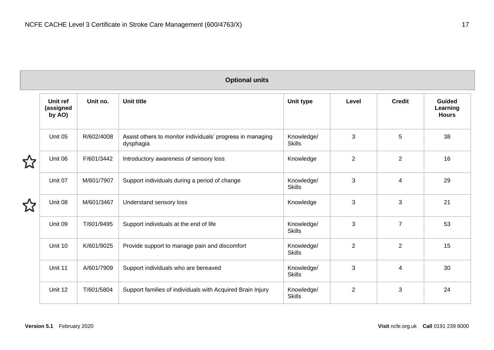|  | <b>Optional units</b> |
|--|-----------------------|
|  |                       |
|  |                       |

<span id="page-16-0"></span>

| Unit ref<br>(assigned<br>by AO) | Unit no.   | Unit title                                                              | Unit type                   | Level          | <b>Credit</b>  | Guided<br>Learning<br><b>Hours</b> |
|---------------------------------|------------|-------------------------------------------------------------------------|-----------------------------|----------------|----------------|------------------------------------|
| Unit 05                         | R/602/4008 | Assist others to monitor individuals' progress in managing<br>dysphagia | Knowledge/<br><b>Skills</b> | 3              | 5              | 38                                 |
| Unit 06                         | F/601/3442 | Introductory awareness of sensory loss                                  | Knowledge                   | $\overline{2}$ | $\overline{2}$ | 16                                 |
| Unit 07                         | M/601/7907 | Support individuals during a period of change                           | Knowledge/<br><b>Skills</b> | 3              | 4              | 29                                 |
| Unit 08                         | M/601/3467 | Understand sensory loss                                                 | Knowledge                   | 3              | 3              | 21                                 |
| Unit 09                         | T/601/9495 | Support individuals at the end of life                                  | Knowledge/<br><b>Skills</b> | 3              | $\overline{7}$ | 53                                 |
| Unit 10                         | K/601/9025 | Provide support to manage pain and discomfort                           | Knowledge/<br><b>Skills</b> | $\overline{2}$ | $\overline{2}$ | 15                                 |
| Unit 11                         | A/601/7909 | Support individuals who are bereaved                                    | Knowledge/<br><b>Skills</b> | 3              | 4              | 30                                 |
| Unit 12                         | T/601/5804 | Support families of individuals with Acquired Brain Injury              | Knowledge/<br><b>Skills</b> | $\overline{2}$ | 3              | 24                                 |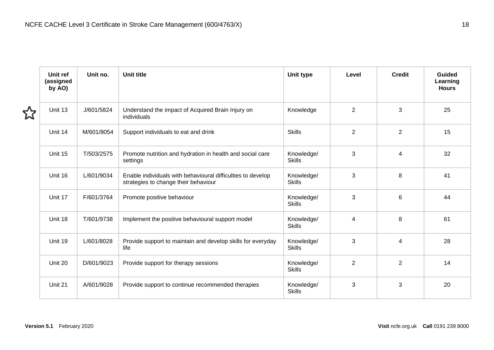| Unit ref<br>(assigned<br>by AO) | Unit no.   | Unit title                                                                                          | Unit type                   | Level          | <b>Credit</b>  | Guided<br>Learning<br><b>Hours</b> |
|---------------------------------|------------|-----------------------------------------------------------------------------------------------------|-----------------------------|----------------|----------------|------------------------------------|
| Unit 13                         | J/601/5824 | Understand the impact of Acquired Brain Injury on<br>individuals                                    | Knowledge                   | $\overline{2}$ | 3              | 25                                 |
| Unit 14                         | M/601/8054 | Support individuals to eat and drink                                                                | <b>Skills</b>               | $\overline{2}$ | $\overline{2}$ | 15                                 |
| Unit 15                         | T/503/2575 | Promote nutrition and hydration in health and social care<br>settings                               | Knowledge/<br><b>Skills</b> | 3              | 4              | 32                                 |
| Unit 16                         | L/601/9034 | Enable individuals with behavioural difficulties to develop<br>strategies to change their behaviour | Knowledge/<br><b>Skills</b> | 3              | 8              | 41                                 |
| Unit 17                         | F/601/3764 | Promote positive behaviour                                                                          | Knowledge/<br><b>Skills</b> | 3              | 6              | 44                                 |
| Unit 18                         | T/601/9738 | Implement the positive behavioural support model                                                    | Knowledge/<br><b>Skills</b> | 4              | 8              | 61                                 |
| Unit 19                         | L/601/8028 | Provide support to maintain and develop skills for everyday<br>life                                 | Knowledge/<br><b>Skills</b> | 3              | 4              | 28                                 |
| Unit 20                         | D/601/9023 | Provide support for therapy sessions                                                                | Knowledge/<br><b>Skills</b> | $\overline{2}$ | $\overline{2}$ | 14                                 |
| Unit 21                         | A/601/9028 | Provide support to continue recommended therapies                                                   | Knowledge/<br><b>Skills</b> | 3              | 3              | 20                                 |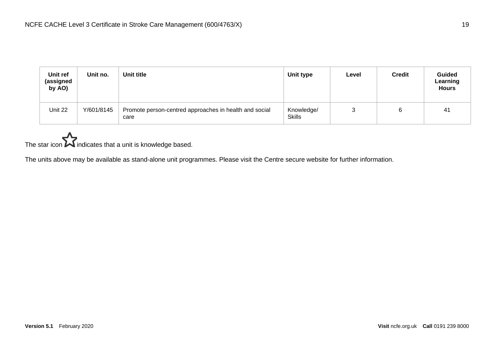| Unit ref<br>(assigned<br>by AO) | Unit no.   | Unit title                                                     | Unit type                   | Level | <b>Credit</b> | <b>Guided</b><br>Learning<br><b>Hours</b> |
|---------------------------------|------------|----------------------------------------------------------------|-----------------------------|-------|---------------|-------------------------------------------|
| Unit 22                         | Y/601/8145 | Promote person-centred approaches in health and social<br>care | Knowledge/<br><b>Skills</b> | ັ     |               | 41                                        |

# The star icon  $\sum$  indicates that a unit is knowledge based.

The units above may be available as stand-alone unit programmes. Please visit the Centre secure website for further information.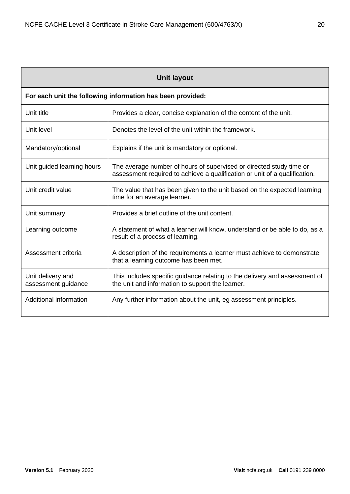<span id="page-19-0"></span>

| <b>Unit layout</b>                       |                                                                                                                                                   |  |  |  |
|------------------------------------------|---------------------------------------------------------------------------------------------------------------------------------------------------|--|--|--|
|                                          | For each unit the following information has been provided:                                                                                        |  |  |  |
| Unit title                               | Provides a clear, concise explanation of the content of the unit.                                                                                 |  |  |  |
| Unit level                               | Denotes the level of the unit within the framework.                                                                                               |  |  |  |
| Mandatory/optional                       | Explains if the unit is mandatory or optional.                                                                                                    |  |  |  |
| Unit guided learning hours               | The average number of hours of supervised or directed study time or<br>assessment required to achieve a qualification or unit of a qualification. |  |  |  |
| Unit credit value                        | The value that has been given to the unit based on the expected learning<br>time for an average learner.                                          |  |  |  |
| Unit summary                             | Provides a brief outline of the unit content.                                                                                                     |  |  |  |
| Learning outcome                         | A statement of what a learner will know, understand or be able to do, as a<br>result of a process of learning.                                    |  |  |  |
| Assessment criteria                      | A description of the requirements a learner must achieve to demonstrate<br>that a learning outcome has been met.                                  |  |  |  |
| Unit delivery and<br>assessment guidance | This includes specific guidance relating to the delivery and assessment of<br>the unit and information to support the learner.                    |  |  |  |
| Additional information                   | Any further information about the unit, eg assessment principles.                                                                                 |  |  |  |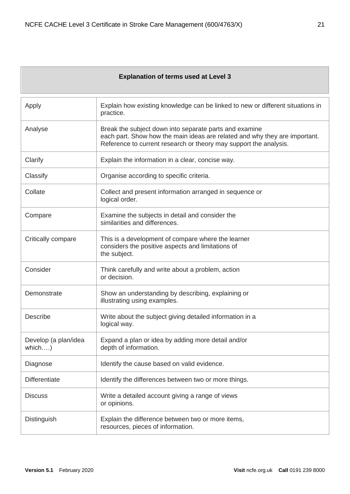#### **Explanation of terms used at Level 3**

<span id="page-20-0"></span>

| Apply                          | Explain how existing knowledge can be linked to new or different situations in<br>practice.                                                                                                               |
|--------------------------------|-----------------------------------------------------------------------------------------------------------------------------------------------------------------------------------------------------------|
| Analyse                        | Break the subject down into separate parts and examine<br>each part. Show how the main ideas are related and why they are important.<br>Reference to current research or theory may support the analysis. |
| Clarify                        | Explain the information in a clear, concise way.                                                                                                                                                          |
| Classify                       | Organise according to specific criteria.                                                                                                                                                                  |
| Collate                        | Collect and present information arranged in sequence or<br>logical order.                                                                                                                                 |
| Compare                        | Examine the subjects in detail and consider the<br>similarities and differences.                                                                                                                          |
| Critically compare             | This is a development of compare where the learner<br>considers the positive aspects and limitations of<br>the subject.                                                                                   |
| Consider                       | Think carefully and write about a problem, action<br>or decision.                                                                                                                                         |
| Demonstrate                    | Show an understanding by describing, explaining or<br>illustrating using examples.                                                                                                                        |
| Describe                       | Write about the subject giving detailed information in a<br>logical way.                                                                                                                                  |
| Develop (a plan/idea<br>which) | Expand a plan or idea by adding more detail and/or<br>depth of information.                                                                                                                               |
| Diagnose                       | Identify the cause based on valid evidence.                                                                                                                                                               |
| <b>Differentiate</b>           | Identify the differences between two or more things.                                                                                                                                                      |
| <b>Discuss</b>                 | Write a detailed account giving a range of views<br>or opinions.                                                                                                                                          |
| Distinguish                    | Explain the difference between two or more items,<br>resources, pieces of information.                                                                                                                    |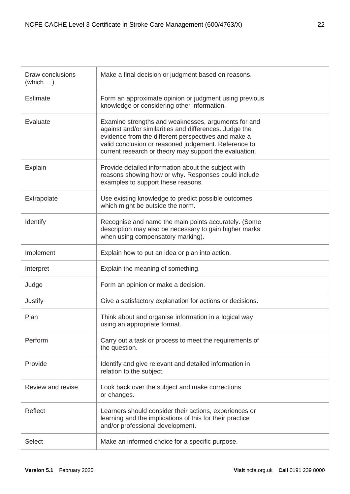| Draw conclusions<br>$(\text{which} \dots)$ | Make a final decision or judgment based on reasons.                                                                                                                                                                                                                                    |
|--------------------------------------------|----------------------------------------------------------------------------------------------------------------------------------------------------------------------------------------------------------------------------------------------------------------------------------------|
| <b>Estimate</b>                            | Form an approximate opinion or judgment using previous<br>knowledge or considering other information.                                                                                                                                                                                  |
| Evaluate                                   | Examine strengths and weaknesses, arguments for and<br>against and/or similarities and differences. Judge the<br>evidence from the different perspectives and make a<br>valid conclusion or reasoned judgement. Reference to<br>current research or theory may support the evaluation. |
| Explain                                    | Provide detailed information about the subject with<br>reasons showing how or why. Responses could include<br>examples to support these reasons.                                                                                                                                       |
| Extrapolate                                | Use existing knowledge to predict possible outcomes<br>which might be outside the norm.                                                                                                                                                                                                |
| Identify                                   | Recognise and name the main points accurately. (Some<br>description may also be necessary to gain higher marks<br>when using compensatory marking).                                                                                                                                    |
| Implement                                  | Explain how to put an idea or plan into action.                                                                                                                                                                                                                                        |
| Interpret                                  | Explain the meaning of something.                                                                                                                                                                                                                                                      |
| Judge                                      | Form an opinion or make a decision.                                                                                                                                                                                                                                                    |
| Justify                                    | Give a satisfactory explanation for actions or decisions.                                                                                                                                                                                                                              |
| Plan                                       | Think about and organise information in a logical way<br>using an appropriate format.                                                                                                                                                                                                  |
| Perform                                    | Carry out a task or process to meet the requirements of<br>the question.                                                                                                                                                                                                               |
| Provide                                    | Identify and give relevant and detailed information in<br>relation to the subject.                                                                                                                                                                                                     |
| Review and revise                          | Look back over the subject and make corrections<br>or changes.                                                                                                                                                                                                                         |
| Reflect                                    | Learners should consider their actions, experiences or<br>learning and the implications of this for their practice<br>and/or professional development.                                                                                                                                 |
| <b>Select</b>                              | Make an informed choice for a specific purpose.                                                                                                                                                                                                                                        |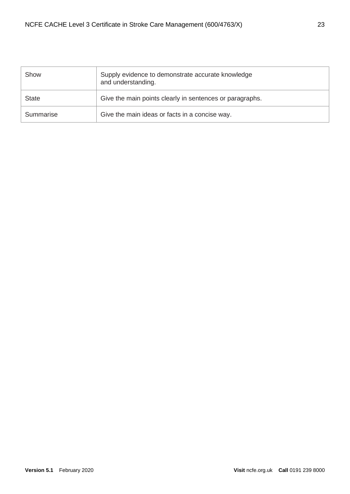| Show         | Supply evidence to demonstrate accurate knowledge<br>and understanding. |
|--------------|-------------------------------------------------------------------------|
| <b>State</b> | Give the main points clearly in sentences or paragraphs.                |
| Summarise    | Give the main ideas or facts in a concise way.                          |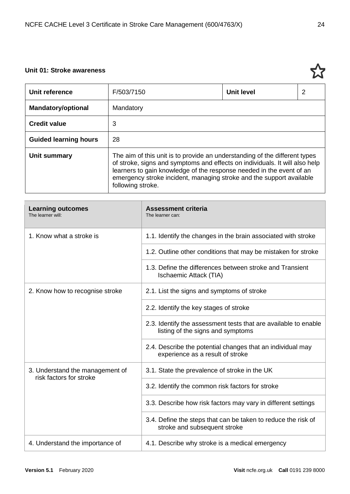## <span id="page-23-0"></span>**Unit 01: Stroke awareness**

| Unit reference               | F/503/7150                                                                                                                                                                                                                                                                                                                     | <b>Unit level</b> | 2 |
|------------------------------|--------------------------------------------------------------------------------------------------------------------------------------------------------------------------------------------------------------------------------------------------------------------------------------------------------------------------------|-------------------|---|
| <b>Mandatory/optional</b>    | Mandatory                                                                                                                                                                                                                                                                                                                      |                   |   |
| <b>Credit value</b>          | 3                                                                                                                                                                                                                                                                                                                              |                   |   |
| <b>Guided learning hours</b> | 28                                                                                                                                                                                                                                                                                                                             |                   |   |
| Unit summary                 | The aim of this unit is to provide an understanding of the different types<br>of stroke, signs and symptoms and effects on individuals. It will also help<br>learners to gain knowledge of the response needed in the event of an<br>emergency stroke incident, managing stroke and the support available<br>following stroke. |                   |   |

| <b>Learning outcomes</b><br>The learner will:              | <b>Assessment criteria</b><br>The learner can:                                                       |
|------------------------------------------------------------|------------------------------------------------------------------------------------------------------|
| 1. Know what a stroke is                                   | 1.1. Identify the changes in the brain associated with stroke                                        |
|                                                            | 1.2. Outline other conditions that may be mistaken for stroke                                        |
|                                                            | 1.3. Define the differences between stroke and Transient<br>Ischaemic Attack (TIA)                   |
| 2. Know how to recognise stroke                            | 2.1. List the signs and symptoms of stroke                                                           |
|                                                            | 2.2. Identify the key stages of stroke                                                               |
|                                                            | 2.3. Identify the assessment tests that are available to enable<br>listing of the signs and symptoms |
|                                                            | 2.4. Describe the potential changes that an individual may<br>experience as a result of stroke       |
| 3. Understand the management of<br>risk factors for stroke | 3.1. State the prevalence of stroke in the UK                                                        |
|                                                            | 3.2. Identify the common risk factors for stroke                                                     |
|                                                            | 3.3. Describe how risk factors may vary in different settings                                        |
|                                                            | 3.4. Define the steps that can be taken to reduce the risk of<br>stroke and subsequent stroke        |
| 4. Understand the importance of                            | 4.1. Describe why stroke is a medical emergency                                                      |

ኢን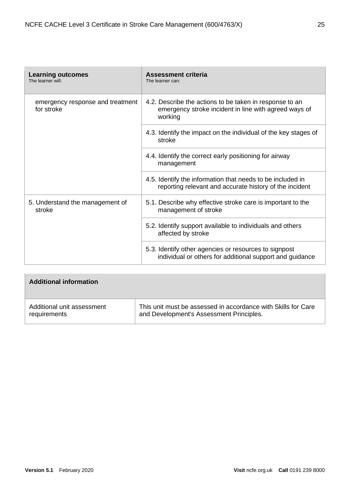| <b>Learning outcomes</b><br>The learner will:  | <b>Assessment criteria</b><br>The learner can:                                                                              |
|------------------------------------------------|-----------------------------------------------------------------------------------------------------------------------------|
| emergency response and treatment<br>for stroke | 4.2. Describe the actions to be taken in response to an<br>emergency stroke incident in line with agreed ways of<br>working |
|                                                | 4.3. Identify the impact on the individual of the key stages of<br>stroke                                                   |
|                                                | 4.4. Identify the correct early positioning for airway<br>management                                                        |
|                                                | 4.5. Identify the information that needs to be included in<br>reporting relevant and accurate history of the incident       |
| 5. Understand the management of<br>stroke      | 5.1. Describe why effective stroke care is important to the<br>management of stroke                                         |
|                                                | 5.2. Identify support available to individuals and others<br>affected by stroke                                             |
|                                                | 5.3. Identify other agencies or resources to signpost<br>individual or others for additional support and guidance           |

| <b>Additional information</b> |                                                               |
|-------------------------------|---------------------------------------------------------------|
| Additional unit assessment    | This unit must be assessed in accordance with Skills for Care |
| requirements                  | and Development's Assessment Principles.                      |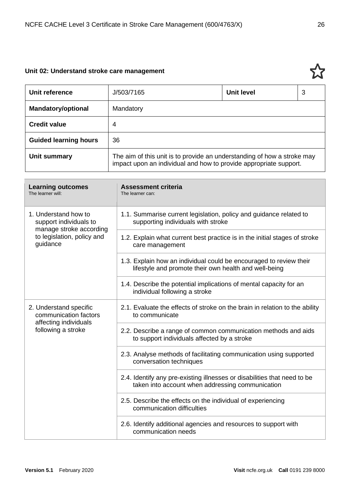# <span id="page-25-0"></span>**Unit 02: Understand stroke care management**

| Unit reference               | J/503/7165                                                                                                                                   | Unit level | 3 |
|------------------------------|----------------------------------------------------------------------------------------------------------------------------------------------|------------|---|
| <b>Mandatory/optional</b>    | Mandatory                                                                                                                                    |            |   |
| <b>Credit value</b>          | 4                                                                                                                                            |            |   |
| <b>Guided learning hours</b> | 36                                                                                                                                           |            |   |
| Unit summary                 | The aim of this unit is to provide an understanding of how a stroke may<br>impact upon an individual and how to provide appropriate support. |            |   |

| <b>Learning outcomes</b><br>The learner will:                             | <b>Assessment criteria</b><br>The learner can:                                                                               |
|---------------------------------------------------------------------------|------------------------------------------------------------------------------------------------------------------------------|
| 1. Understand how to<br>support individuals to<br>manage stroke according | 1.1. Summarise current legislation, policy and guidance related to<br>supporting individuals with stroke                     |
| to legislation, policy and<br>guidance                                    | 1.2. Explain what current best practice is in the initial stages of stroke<br>care management                                |
|                                                                           | 1.3. Explain how an individual could be encouraged to review their<br>lifestyle and promote their own health and well-being  |
|                                                                           | 1.4. Describe the potential implications of mental capacity for an<br>individual following a stroke                          |
| 2. Understand specific<br>communication factors<br>affecting individuals  | 2.1. Evaluate the effects of stroke on the brain in relation to the ability<br>to communicate                                |
| following a stroke                                                        | 2.2. Describe a range of common communication methods and aids<br>to support individuals affected by a stroke                |
|                                                                           | 2.3. Analyse methods of facilitating communication using supported<br>conversation techniques                                |
|                                                                           | 2.4. Identify any pre-existing illnesses or disabilities that need to be<br>taken into account when addressing communication |
|                                                                           | 2.5. Describe the effects on the individual of experiencing<br>communication difficulties                                    |
|                                                                           | 2.6. Identify additional agencies and resources to support with<br>communication needs                                       |

ኢን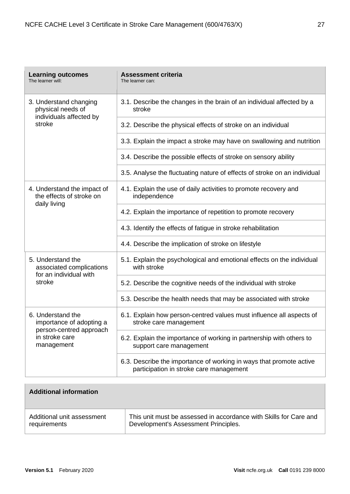| <b>Learning outcomes</b><br>The learner will:                                                            | <b>Assessment criteria</b><br>The learner can:                                                                 |
|----------------------------------------------------------------------------------------------------------|----------------------------------------------------------------------------------------------------------------|
| 3. Understand changing<br>physical needs of<br>individuals affected by                                   | 3.1. Describe the changes in the brain of an individual affected by a<br>stroke                                |
| stroke                                                                                                   | 3.2. Describe the physical effects of stroke on an individual                                                  |
|                                                                                                          | 3.3. Explain the impact a stroke may have on swallowing and nutrition                                          |
|                                                                                                          | 3.4. Describe the possible effects of stroke on sensory ability                                                |
|                                                                                                          | 3.5. Analyse the fluctuating nature of effects of stroke on an individual                                      |
| 4. Understand the impact of<br>the effects of stroke on                                                  | 4.1. Explain the use of daily activities to promote recovery and<br>independence                               |
| daily living                                                                                             | 4.2. Explain the importance of repetition to promote recovery                                                  |
|                                                                                                          | 4.3. Identify the effects of fatigue in stroke rehabilitation                                                  |
|                                                                                                          | 4.4. Describe the implication of stroke on lifestyle                                                           |
| 5. Understand the<br>associated complications<br>for an individual with                                  | 5.1. Explain the psychological and emotional effects on the individual<br>with stroke                          |
| stroke                                                                                                   | 5.2. Describe the cognitive needs of the individual with stroke                                                |
|                                                                                                          | 5.3. Describe the health needs that may be associated with stroke                                              |
| 6. Understand the<br>importance of adopting a<br>person-centred approach<br>in stroke care<br>management | 6.1. Explain how person-centred values must influence all aspects of<br>stroke care management                 |
|                                                                                                          | 6.2. Explain the importance of working in partnership with others to<br>support care management                |
|                                                                                                          | 6.3. Describe the importance of working in ways that promote active<br>participation in stroke care management |

| <b>Additional information</b> |                                                                   |
|-------------------------------|-------------------------------------------------------------------|
| Additional unit assessment    | This unit must be assessed in accordance with Skills for Care and |
| requirements                  | Development's Assessment Principles.                              |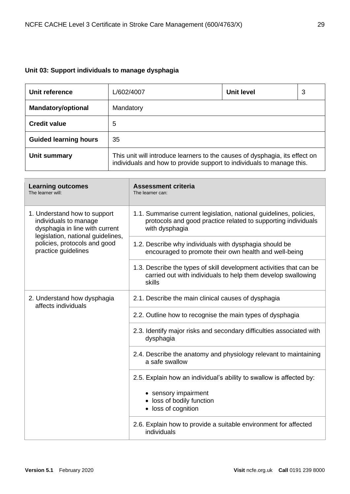# <span id="page-28-0"></span>**Unit 03: Support individuals to manage dysphagia**

| Unit reference               | L/602/4007                                                                                                                                           | <b>Unit level</b> | 3 |
|------------------------------|------------------------------------------------------------------------------------------------------------------------------------------------------|-------------------|---|
| <b>Mandatory/optional</b>    | Mandatory                                                                                                                                            |                   |   |
| <b>Credit value</b>          | 5                                                                                                                                                    |                   |   |
| <b>Guided learning hours</b> | 35                                                                                                                                                   |                   |   |
| Unit summary                 | This unit will introduce learners to the causes of dysphagia, its effect on<br>individuals and how to provide support to individuals to manage this. |                   |   |

| <b>Learning outcomes</b><br>The learner will:                                                                                                                                       | <b>Assessment criteria</b><br>The learner can:                                                                                                        |
|-------------------------------------------------------------------------------------------------------------------------------------------------------------------------------------|-------------------------------------------------------------------------------------------------------------------------------------------------------|
| 1. Understand how to support<br>individuals to manage<br>dysphagia in line with current<br>legislation, national guidelines,<br>policies, protocols and good<br>practice guidelines | 1.1. Summarise current legislation, national guidelines, policies,<br>protocols and good practice related to supporting individuals<br>with dysphagia |
|                                                                                                                                                                                     | 1.2. Describe why individuals with dysphagia should be<br>encouraged to promote their own health and well-being                                       |
|                                                                                                                                                                                     | 1.3. Describe the types of skill development activities that can be<br>carried out with individuals to help them develop swallowing<br>skills         |
| 2. Understand how dysphagia<br>affects individuals                                                                                                                                  | 2.1. Describe the main clinical causes of dysphagia                                                                                                   |
|                                                                                                                                                                                     | 2.2. Outline how to recognise the main types of dysphagia                                                                                             |
|                                                                                                                                                                                     | 2.3. Identify major risks and secondary difficulties associated with<br>dysphagia                                                                     |
|                                                                                                                                                                                     | 2.4. Describe the anatomy and physiology relevant to maintaining<br>a safe swallow                                                                    |
|                                                                                                                                                                                     | 2.5. Explain how an individual's ability to swallow is affected by:<br>• sensory impairment<br>• loss of bodily function<br>• loss of cognition       |
|                                                                                                                                                                                     | 2.6. Explain how to provide a suitable environment for affected<br>individuals                                                                        |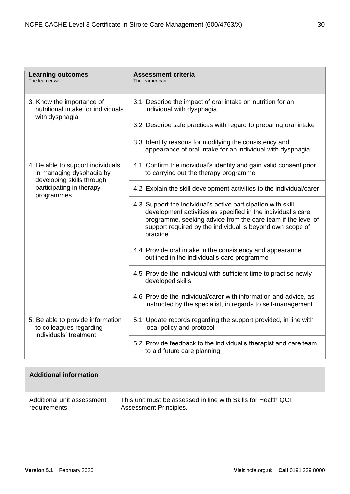| <b>Learning outcomes</b><br>The learner will:                                                                                        | <b>Assessment criteria</b><br>The learner can:                                                                                                                                                                                                                         |
|--------------------------------------------------------------------------------------------------------------------------------------|------------------------------------------------------------------------------------------------------------------------------------------------------------------------------------------------------------------------------------------------------------------------|
| 3. Know the importance of<br>nutritional intake for individuals                                                                      | 3.1. Describe the impact of oral intake on nutrition for an<br>individual with dysphagia                                                                                                                                                                               |
| with dysphagia                                                                                                                       | 3.2. Describe safe practices with regard to preparing oral intake                                                                                                                                                                                                      |
|                                                                                                                                      | 3.3. Identify reasons for modifying the consistency and<br>appearance of oral intake for an individual with dysphagia                                                                                                                                                  |
| 4. Be able to support individuals<br>in managing dysphagia by<br>developing skills through<br>participating in therapy<br>programmes | 4.1. Confirm the individual's identity and gain valid consent prior<br>to carrying out the therapy programme                                                                                                                                                           |
|                                                                                                                                      | 4.2. Explain the skill development activities to the individual/carer                                                                                                                                                                                                  |
|                                                                                                                                      | 4.3. Support the individual's active participation with skill<br>development activities as specified in the individual's care<br>programme, seeking advice from the care team if the level of<br>support required by the individual is beyond own scope of<br>practice |
|                                                                                                                                      | 4.4. Provide oral intake in the consistency and appearance<br>outlined in the individual's care programme                                                                                                                                                              |
|                                                                                                                                      | 4.5. Provide the individual with sufficient time to practise newly<br>developed skills                                                                                                                                                                                 |
|                                                                                                                                      | 4.6. Provide the individual/carer with information and advice, as<br>instructed by the specialist, in regards to self-management                                                                                                                                       |
| 5. Be able to provide information<br>to colleagues regarding<br>individuals' treatment                                               | 5.1. Update records regarding the support provided, in line with<br>local policy and protocol                                                                                                                                                                          |
|                                                                                                                                      | 5.2. Provide feedback to the individual's therapist and care team<br>to aid future care planning                                                                                                                                                                       |

| <b>Additional information</b> |                                                               |
|-------------------------------|---------------------------------------------------------------|
| Additional unit assessment    | This unit must be assessed in line with Skills for Health QCF |
| requirements                  | <b>Assessment Principles.</b>                                 |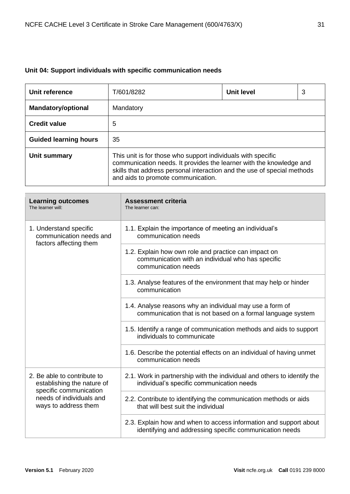# <span id="page-30-0"></span>**Unit 04: Support individuals with specific communication needs**

| Unit reference               | T/601/8282                                                                                                                                                                                                                                           | <b>Unit level</b> | 3 |
|------------------------------|------------------------------------------------------------------------------------------------------------------------------------------------------------------------------------------------------------------------------------------------------|-------------------|---|
| <b>Mandatory/optional</b>    | Mandatory                                                                                                                                                                                                                                            |                   |   |
| <b>Credit value</b>          | 5                                                                                                                                                                                                                                                    |                   |   |
| <b>Guided learning hours</b> | 35                                                                                                                                                                                                                                                   |                   |   |
| Unit summary                 | This unit is for those who support individuals with specific<br>communication needs. It provides the learner with the knowledge and<br>skills that address personal interaction and the use of special methods<br>and aids to promote communication. |                   |   |

| <b>Learning outcomes</b><br>The learner will:                                                                                           | <b>Assessment criteria</b><br>The learner can:                                                                                   |
|-----------------------------------------------------------------------------------------------------------------------------------------|----------------------------------------------------------------------------------------------------------------------------------|
| 1. Understand specific<br>communication needs and<br>factors affecting them                                                             | 1.1. Explain the importance of meeting an individual's<br>communication needs                                                    |
|                                                                                                                                         | 1.2. Explain how own role and practice can impact on<br>communication with an individual who has specific<br>communication needs |
|                                                                                                                                         | 1.3. Analyse features of the environment that may help or hinder<br>communication                                                |
|                                                                                                                                         | 1.4. Analyse reasons why an individual may use a form of<br>communication that is not based on a formal language system          |
|                                                                                                                                         | 1.5. Identify a range of communication methods and aids to support<br>individuals to communicate                                 |
|                                                                                                                                         | 1.6. Describe the potential effects on an individual of having unmet<br>communication needs                                      |
| 2. Be able to contribute to<br>establishing the nature of<br>specific communication<br>needs of individuals and<br>ways to address them | 2.1. Work in partnership with the individual and others to identify the<br>individual's specific communication needs             |
|                                                                                                                                         | 2.2. Contribute to identifying the communication methods or aids<br>that will best suit the individual                           |
|                                                                                                                                         | 2.3. Explain how and when to access information and support about<br>identifying and addressing specific communication needs     |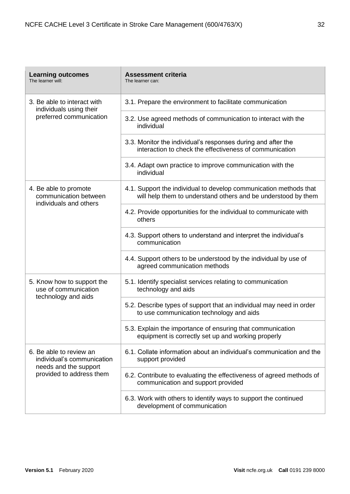| <b>Learning outcomes</b><br>The learner will:                                                              | <b>Assessment criteria</b><br>The learner can:                                                                                     |
|------------------------------------------------------------------------------------------------------------|------------------------------------------------------------------------------------------------------------------------------------|
| 3. Be able to interact with<br>individuals using their                                                     | 3.1. Prepare the environment to facilitate communication                                                                           |
| preferred communication                                                                                    | 3.2. Use agreed methods of communication to interact with the<br>individual                                                        |
|                                                                                                            | 3.3. Monitor the individual's responses during and after the<br>interaction to check the effectiveness of communication            |
|                                                                                                            | 3.4. Adapt own practice to improve communication with the<br>individual                                                            |
| 4. Be able to promote<br>communication between<br>individuals and others                                   | 4.1. Support the individual to develop communication methods that<br>will help them to understand others and be understood by them |
|                                                                                                            | 4.2. Provide opportunities for the individual to communicate with<br>others                                                        |
|                                                                                                            | 4.3. Support others to understand and interpret the individual's<br>communication                                                  |
|                                                                                                            | 4.4. Support others to be understood by the individual by use of<br>agreed communication methods                                   |
| 5. Know how to support the<br>use of communication<br>technology and aids                                  | 5.1. Identify specialist services relating to communication<br>technology and aids                                                 |
|                                                                                                            | 5.2. Describe types of support that an individual may need in order<br>to use communication technology and aids                    |
|                                                                                                            | 5.3. Explain the importance of ensuring that communication<br>equipment is correctly set up and working properly                   |
| 6. Be able to review an<br>individual's communication<br>needs and the support<br>provided to address them | 6.1. Collate information about an individual's communication and the<br>support provided                                           |
|                                                                                                            | 6.2. Contribute to evaluating the effectiveness of agreed methods of<br>communication and support provided                         |
|                                                                                                            | 6.3. Work with others to identify ways to support the continued<br>development of communication                                    |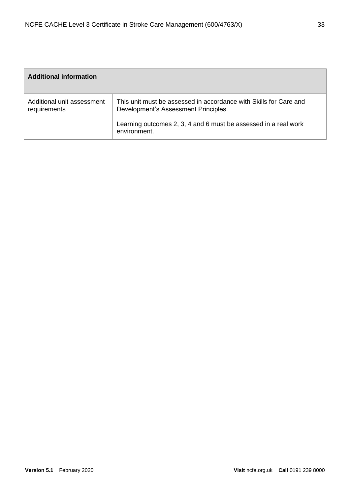| <b>Additional information</b>              |                                                                                                           |
|--------------------------------------------|-----------------------------------------------------------------------------------------------------------|
| Additional unit assessment<br>requirements | This unit must be assessed in accordance with Skills for Care and<br>Development's Assessment Principles. |
|                                            | Learning outcomes 2, 3, 4 and 6 must be assessed in a real work<br>environment.                           |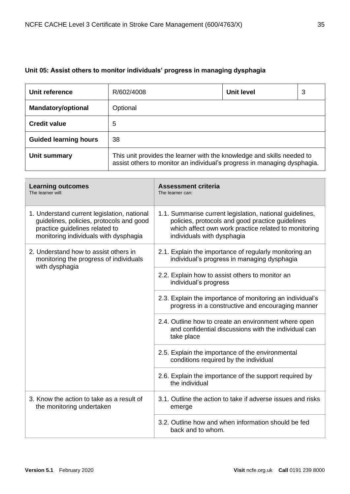# <span id="page-34-0"></span>**Unit 05: Assist others to monitor individuals' progress in managing dysphagia**

| Unit reference               | R/602/4008                                                                                                                                         | Unit level | 3 |
|------------------------------|----------------------------------------------------------------------------------------------------------------------------------------------------|------------|---|
| <b>Mandatory/optional</b>    | Optional                                                                                                                                           |            |   |
| <b>Credit value</b>          | 5                                                                                                                                                  |            |   |
| <b>Guided learning hours</b> | 38                                                                                                                                                 |            |   |
| Unit summary                 | This unit provides the learner with the knowledge and skills needed to<br>assist others to monitor an individual's progress in managing dysphagia. |            |   |

| <b>Learning outcomes</b><br>The learner will:                                                                                                                      | <b>Assessment criteria</b><br>The learner can:                                                                                                                                                     |
|--------------------------------------------------------------------------------------------------------------------------------------------------------------------|----------------------------------------------------------------------------------------------------------------------------------------------------------------------------------------------------|
| 1. Understand current legislation, national<br>guidelines, policies, protocols and good<br>practice guidelines related to<br>monitoring individuals with dysphagia | 1.1. Summarise current legislation, national guidelines,<br>policies, protocols and good practice guidelines<br>which affect own work practice related to monitoring<br>individuals with dysphagia |
| 2. Understand how to assist others in<br>monitoring the progress of individuals<br>with dysphagia                                                                  | 2.1. Explain the importance of regularly monitoring an<br>individual's progress in managing dysphagia                                                                                              |
|                                                                                                                                                                    | 2.2. Explain how to assist others to monitor an<br>individual's progress                                                                                                                           |
|                                                                                                                                                                    | 2.3. Explain the importance of monitoring an individual's<br>progress in a constructive and encouraging manner                                                                                     |
|                                                                                                                                                                    | 2.4. Outline how to create an environment where open<br>and confidential discussions with the individual can<br>take place                                                                         |
|                                                                                                                                                                    | 2.5. Explain the importance of the environmental<br>conditions required by the individual                                                                                                          |
|                                                                                                                                                                    | 2.6. Explain the importance of the support required by<br>the individual                                                                                                                           |
| 3. Know the action to take as a result of<br>the monitoring undertaken                                                                                             | 3.1. Outline the action to take if adverse issues and risks<br>emerge                                                                                                                              |
|                                                                                                                                                                    | 3.2. Outline how and when information should be fed<br>back and to whom.                                                                                                                           |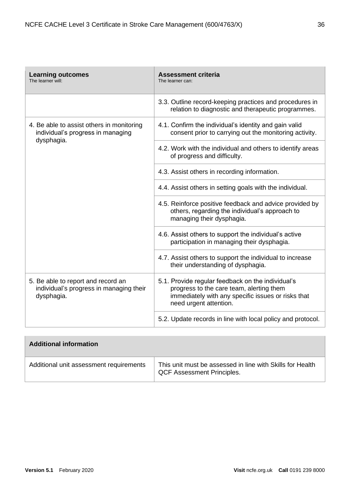| <b>Learning outcomes</b><br>The learner will:                                                | <b>Assessment criteria</b><br>The learner can:                                                                                                                                |
|----------------------------------------------------------------------------------------------|-------------------------------------------------------------------------------------------------------------------------------------------------------------------------------|
|                                                                                              | 3.3. Outline record-keeping practices and procedures in<br>relation to diagnostic and therapeutic programmes.                                                                 |
| 4. Be able to assist others in monitoring<br>individual's progress in managing<br>dysphagia. | 4.1. Confirm the individual's identity and gain valid<br>consent prior to carrying out the monitoring activity.                                                               |
|                                                                                              | 4.2. Work with the individual and others to identify areas<br>of progress and difficulty.                                                                                     |
|                                                                                              | 4.3. Assist others in recording information.                                                                                                                                  |
|                                                                                              | 4.4. Assist others in setting goals with the individual.                                                                                                                      |
|                                                                                              | 4.5. Reinforce positive feedback and advice provided by<br>others, regarding the individual's approach to<br>managing their dysphagia.                                        |
|                                                                                              | 4.6. Assist others to support the individual's active<br>participation in managing their dysphagia.                                                                           |
|                                                                                              | 4.7. Assist others to support the individual to increase<br>their understanding of dysphagia.                                                                                 |
| 5. Be able to report and record an<br>individual's progress in managing their<br>dysphagia.  | 5.1. Provide regular feedback on the individual's<br>progress to the care team, alerting them<br>immediately with any specific issues or risks that<br>need urgent attention. |
|                                                                                              | 5.2. Update records in line with local policy and protocol.                                                                                                                   |

| <b>Additional information</b>           |                                                                                                |
|-----------------------------------------|------------------------------------------------------------------------------------------------|
| Additional unit assessment requirements | This unit must be assessed in line with Skills for Health<br><b>QCF Assessment Principles.</b> |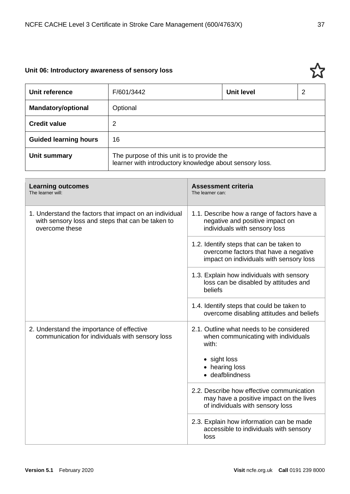## **Unit 06: Introductory awareness of sensory loss**

| Unit reference               | F/601/3442                                                                                            | <b>Unit level</b> | 2 |
|------------------------------|-------------------------------------------------------------------------------------------------------|-------------------|---|
| <b>Mandatory/optional</b>    | Optional                                                                                              |                   |   |
| <b>Credit value</b>          | 2                                                                                                     |                   |   |
| <b>Guided learning hours</b> | 16                                                                                                    |                   |   |
| Unit summary                 | The purpose of this unit is to provide the<br>learner with introductory knowledge about sensory loss. |                   |   |

| <b>Learning outcomes</b><br>The learner will:                                                                                | <b>Assessment criteria</b><br>The learner can:                                                                                                |
|------------------------------------------------------------------------------------------------------------------------------|-----------------------------------------------------------------------------------------------------------------------------------------------|
| 1. Understand the factors that impact on an individual<br>with sensory loss and steps that can be taken to<br>overcome these | 1.1. Describe how a range of factors have a<br>negative and positive impact on<br>individuals with sensory loss                               |
|                                                                                                                              | 1.2. Identify steps that can be taken to<br>overcome factors that have a negative<br>impact on individuals with sensory loss                  |
|                                                                                                                              | 1.3. Explain how individuals with sensory<br>loss can be disabled by attitudes and<br>beliefs                                                 |
|                                                                                                                              | 1.4. Identify steps that could be taken to<br>overcome disabling attitudes and beliefs                                                        |
| 2. Understand the importance of effective<br>communication for individuals with sensory loss                                 | 2.1. Outline what needs to be considered<br>when communicating with individuals<br>with:<br>• sight loss<br>• hearing loss<br>• deafblindness |
|                                                                                                                              | 2.2. Describe how effective communication<br>may have a positive impact on the lives<br>of individuals with sensory loss                      |
|                                                                                                                              | 2.3. Explain how information can be made<br>accessible to individuals with sensory<br>loss                                                    |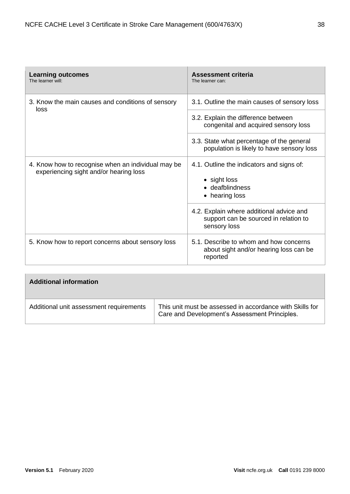| <b>Learning outcomes</b><br>The learner will:                                                | <b>Assessment criteria</b><br>The learner can:                                                    |
|----------------------------------------------------------------------------------------------|---------------------------------------------------------------------------------------------------|
| 3. Know the main causes and conditions of sensory<br>loss                                    | 3.1. Outline the main causes of sensory loss                                                      |
|                                                                                              | 3.2. Explain the difference between<br>congenital and acquired sensory loss                       |
|                                                                                              | 3.3. State what percentage of the general<br>population is likely to have sensory loss            |
| 4. Know how to recognise when an individual may be<br>experiencing sight and/or hearing loss | 4.1. Outline the indicators and signs of:<br>• sight loss<br>• deafblindness<br>• hearing loss    |
|                                                                                              | 4.2. Explain where additional advice and<br>support can be sourced in relation to<br>sensory loss |
| 5. Know how to report concerns about sensory loss                                            | 5.1. Describe to whom and how concerns<br>about sight and/or hearing loss can be<br>reported      |

| <b>Additional information</b>           |                                                                                                           |
|-----------------------------------------|-----------------------------------------------------------------------------------------------------------|
| Additional unit assessment requirements | This unit must be assessed in accordance with Skills for<br>Care and Development's Assessment Principles. |

 $\overline{\phantom{a}}$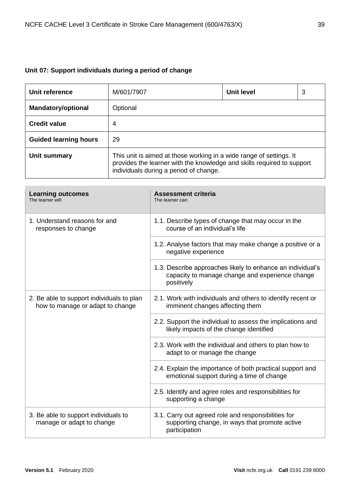## **Unit 07: Support individuals during a period of change**

| Unit reference               | M/601/7907                                                                                                                                                                              | <b>Unit level</b> | 3 |
|------------------------------|-----------------------------------------------------------------------------------------------------------------------------------------------------------------------------------------|-------------------|---|
| <b>Mandatory/optional</b>    | Optional                                                                                                                                                                                |                   |   |
| <b>Credit value</b>          | 4                                                                                                                                                                                       |                   |   |
| <b>Guided learning hours</b> | 29                                                                                                                                                                                      |                   |   |
| Unit summary                 | This unit is aimed at those working in a wide range of settings. It<br>provides the learner with the knowledge and skills required to support<br>individuals during a period of change. |                   |   |

| <b>Learning outcomes</b><br>The learner will:                                 | <b>Assessment criteria</b><br>The learner can:                                                                              |
|-------------------------------------------------------------------------------|-----------------------------------------------------------------------------------------------------------------------------|
| 1. Understand reasons for and<br>responses to change                          | 1.1. Describe types of change that may occur in the<br>course of an individual's life                                       |
|                                                                               | 1.2. Analyse factors that may make change a positive or a<br>negative experience                                            |
|                                                                               | 1.3. Describe approaches likely to enhance an individual's<br>capacity to manage change and experience change<br>positively |
| 2. Be able to support individuals to plan<br>how to manage or adapt to change | 2.1. Work with individuals and others to identify recent or<br>imminent changes affecting them                              |
|                                                                               | 2.2. Support the individual to assess the implications and<br>likely impacts of the change identified                       |
|                                                                               | 2.3. Work with the individual and others to plan how to<br>adapt to or manage the change                                    |
|                                                                               | 2.4. Explain the importance of both practical support and<br>emotional support during a time of change                      |
|                                                                               | 2.5. Identify and agree roles and responsibilities for<br>supporting a change                                               |
| 3. Be able to support individuals to<br>manage or adapt to change             | 3.1. Carry out agreed role and responsibilities for<br>supporting change, in ways that promote active<br>participation      |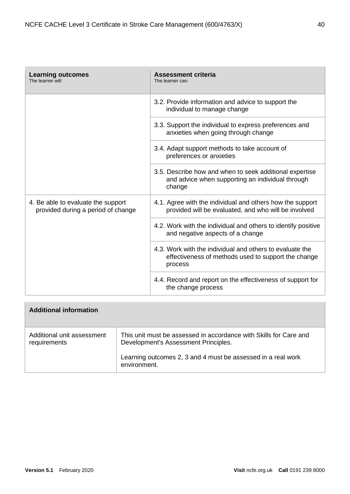| <b>Learning outcomes</b><br>The learner will:                            | <b>Assessment criteria</b><br>The learner can:                                                                             |
|--------------------------------------------------------------------------|----------------------------------------------------------------------------------------------------------------------------|
|                                                                          | 3.2. Provide information and advice to support the<br>individual to manage change                                          |
|                                                                          | 3.3. Support the individual to express preferences and<br>anxieties when going through change                              |
|                                                                          | 3.4. Adapt support methods to take account of<br>preferences or anxieties                                                  |
|                                                                          | 3.5. Describe how and when to seek additional expertise<br>and advice when supporting an individual through<br>change      |
| 4. Be able to evaluate the support<br>provided during a period of change | 4.1. Agree with the individual and others how the support<br>provided will be evaluated, and who will be involved          |
|                                                                          | 4.2. Work with the individual and others to identify positive<br>and negative aspects of a change                          |
|                                                                          | 4.3. Work with the individual and others to evaluate the<br>effectiveness of methods used to support the change<br>process |
|                                                                          | 4.4. Record and report on the effectiveness of support for<br>the change process                                           |

| <b>Additional information</b>              |                                                                                                           |
|--------------------------------------------|-----------------------------------------------------------------------------------------------------------|
| Additional unit assessment<br>requirements | This unit must be assessed in accordance with Skills for Care and<br>Development's Assessment Principles. |
|                                            | Learning outcomes 2, 3 and 4 must be assessed in a real work<br>environment.                              |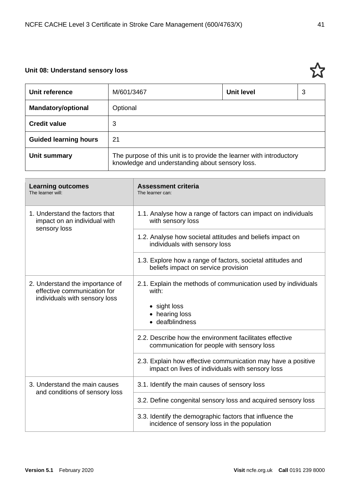## **Unit 08: Understand sensory loss**

 $\sim$ 

| Unit reference               | M/601/3467                                                                                                              | Unit level | 3 |
|------------------------------|-------------------------------------------------------------------------------------------------------------------------|------------|---|
| <b>Mandatory/optional</b>    | Optional                                                                                                                |            |   |
| <b>Credit value</b>          | 3                                                                                                                       |            |   |
| <b>Guided learning hours</b> | -21                                                                                                                     |            |   |
| Unit summary                 | The purpose of this unit is to provide the learner with introductory<br>knowledge and understanding about sensory loss. |            |   |

| <b>Learning outcomes</b><br>The learner will:                                                   | <b>Assessment criteria</b><br>The learner can:                                                                              |
|-------------------------------------------------------------------------------------------------|-----------------------------------------------------------------------------------------------------------------------------|
| 1. Understand the factors that<br>impact on an individual with<br>sensory loss                  | 1.1. Analyse how a range of factors can impact on individuals<br>with sensory loss                                          |
|                                                                                                 | 1.2. Analyse how societal attitudes and beliefs impact on<br>individuals with sensory loss                                  |
|                                                                                                 | 1.3. Explore how a range of factors, societal attitudes and<br>beliefs impact on service provision                          |
| 2. Understand the importance of<br>effective communication for<br>individuals with sensory loss | 2.1. Explain the methods of communication used by individuals<br>with:<br>• sight loss<br>• hearing loss<br>• deafblindness |
|                                                                                                 | 2.2. Describe how the environment facilitates effective<br>communication for people with sensory loss                       |
|                                                                                                 | 2.3. Explain how effective communication may have a positive<br>impact on lives of individuals with sensory loss            |
| 3. Understand the main causes<br>and conditions of sensory loss                                 | 3.1. Identify the main causes of sensory loss                                                                               |
|                                                                                                 | 3.2. Define congenital sensory loss and acquired sensory loss                                                               |
|                                                                                                 | 3.3. Identify the demographic factors that influence the<br>incidence of sensory loss in the population                     |



 $\overline{\phantom{0}}$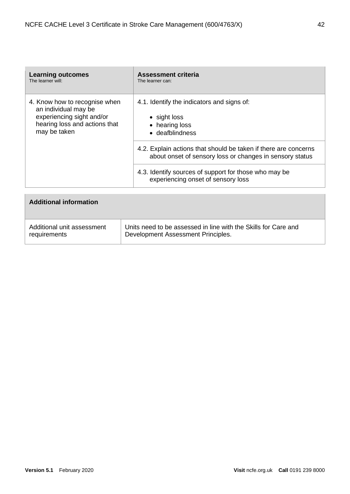| <b>Learning outcomes</b><br>The learner will:                                                                                       | <b>Assessment criteria</b><br>The learner can:                                                                              |
|-------------------------------------------------------------------------------------------------------------------------------------|-----------------------------------------------------------------------------------------------------------------------------|
| 4. Know how to recognise when<br>an individual may be<br>experiencing sight and/or<br>hearing loss and actions that<br>may be taken | 4.1. Identify the indicators and signs of:<br>$\bullet$ sight loss<br>• hearing loss<br>• deafblindness                     |
|                                                                                                                                     | 4.2. Explain actions that should be taken if there are concerns<br>about onset of sensory loss or changes in sensory status |
|                                                                                                                                     | 4.3. Identify sources of support for those who may be<br>experiencing onset of sensory loss                                 |

| <b>Additional information</b> |                                                                |
|-------------------------------|----------------------------------------------------------------|
| Additional unit assessment    | Units need to be assessed in line with the Skills for Care and |
| requirements                  | Development Assessment Principles.                             |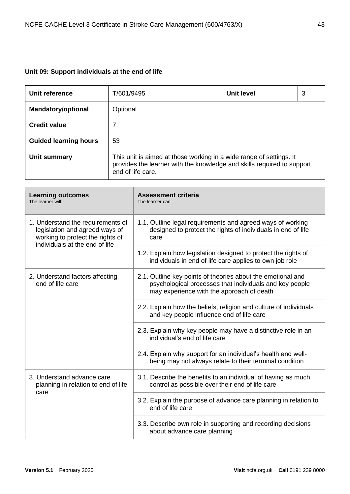## **Unit 09: Support individuals at the end of life**

| Unit reference               | T/601/9495                                                                                                                                                         | Unit level | 3 |
|------------------------------|--------------------------------------------------------------------------------------------------------------------------------------------------------------------|------------|---|
| <b>Mandatory/optional</b>    | Optional                                                                                                                                                           |            |   |
| <b>Credit value</b>          | 7                                                                                                                                                                  |            |   |
| <b>Guided learning hours</b> | 53                                                                                                                                                                 |            |   |
| Unit summary                 | This unit is aimed at those working in a wide range of settings. It<br>provides the learner with the knowledge and skills required to support<br>end of life care. |            |   |

| <b>Learning outcomes</b><br>The learner will:                                                                                             | <b>Assessment criteria</b><br>The learner can:                                                                                                                      |
|-------------------------------------------------------------------------------------------------------------------------------------------|---------------------------------------------------------------------------------------------------------------------------------------------------------------------|
| 1. Understand the requirements of<br>legislation and agreed ways of<br>working to protect the rights of<br>individuals at the end of life | 1.1. Outline legal requirements and agreed ways of working<br>designed to protect the rights of individuals in end of life<br>care                                  |
|                                                                                                                                           | 1.2. Explain how legislation designed to protect the rights of<br>individuals in end of life care applies to own job role                                           |
| 2. Understand factors affecting<br>end of life care                                                                                       | 2.1. Outline key points of theories about the emotional and<br>psychological processes that individuals and key people<br>may experience with the approach of death |
|                                                                                                                                           | 2.2. Explain how the beliefs, religion and culture of individuals<br>and key people influence end of life care                                                      |
|                                                                                                                                           | 2.3. Explain why key people may have a distinctive role in an<br>individual's end of life care                                                                      |
|                                                                                                                                           | 2.4. Explain why support for an individual's health and well-<br>being may not always relate to their terminal condition                                            |
| 3. Understand advance care<br>planning in relation to end of life<br>care                                                                 | 3.1. Describe the benefits to an individual of having as much<br>control as possible over their end of life care                                                    |
|                                                                                                                                           | 3.2. Explain the purpose of advance care planning in relation to<br>end of life care                                                                                |
|                                                                                                                                           | 3.3. Describe own role in supporting and recording decisions<br>about advance care planning                                                                         |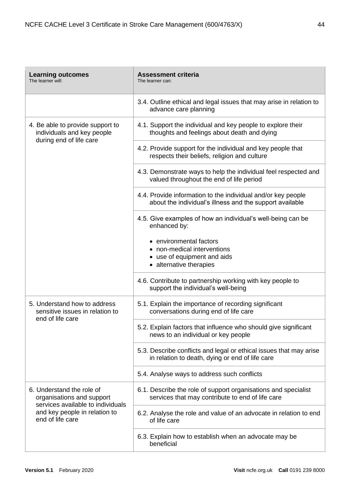| <b>Learning outcomes</b><br>The learner will:                                                                                                    | <b>Assessment criteria</b><br>The learner can:                                                                           |
|--------------------------------------------------------------------------------------------------------------------------------------------------|--------------------------------------------------------------------------------------------------------------------------|
|                                                                                                                                                  | 3.4. Outline ethical and legal issues that may arise in relation to<br>advance care planning                             |
| 4. Be able to provide support to<br>individuals and key people<br>during end of life care                                                        | 4.1. Support the individual and key people to explore their<br>thoughts and feelings about death and dying               |
|                                                                                                                                                  | 4.2. Provide support for the individual and key people that<br>respects their beliefs, religion and culture              |
|                                                                                                                                                  | 4.3. Demonstrate ways to help the individual feel respected and<br>valued throughout the end of life period              |
|                                                                                                                                                  | 4.4. Provide information to the individual and/or key people<br>about the individual's illness and the support available |
|                                                                                                                                                  | 4.5. Give examples of how an individual's well-being can be<br>enhanced by:                                              |
|                                                                                                                                                  | • environmental factors<br>• non-medical interventions                                                                   |
|                                                                                                                                                  | • use of equipment and aids<br>• alternative therapies                                                                   |
|                                                                                                                                                  | 4.6. Contribute to partnership working with key people to<br>support the individual's well-being                         |
| 5. Understand how to address<br>sensitive issues in relation to<br>end of life care                                                              | 5.1. Explain the importance of recording significant<br>conversations during end of life care                            |
|                                                                                                                                                  | 5.2. Explain factors that influence who should give significant<br>news to an individual or key people                   |
|                                                                                                                                                  | 5.3. Describe conflicts and legal or ethical issues that may arise<br>in relation to death, dying or end of life care    |
|                                                                                                                                                  | 5.4. Analyse ways to address such conflicts                                                                              |
| 6. Understand the role of<br>organisations and support<br>services available to individuals<br>and key people in relation to<br>end of life care | 6.1. Describe the role of support organisations and specialist<br>services that may contribute to end of life care       |
|                                                                                                                                                  | 6.2. Analyse the role and value of an advocate in relation to end<br>of life care                                        |
|                                                                                                                                                  | 6.3. Explain how to establish when an advocate may be<br>beneficial                                                      |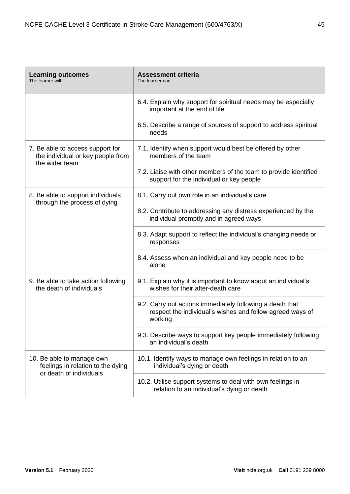| <b>Learning outcomes</b><br>The learner will:                                             | <b>Assessment criteria</b><br>The learner can:                                                                                    |
|-------------------------------------------------------------------------------------------|-----------------------------------------------------------------------------------------------------------------------------------|
|                                                                                           | 6.4. Explain why support for spiritual needs may be especially<br>important at the end of life                                    |
|                                                                                           | 6.5. Describe a range of sources of support to address spiritual<br>needs                                                         |
| 7. Be able to access support for<br>the individual or key people from<br>the wider team   | 7.1. Identify when support would best be offered by other<br>members of the team                                                  |
|                                                                                           | 7.2. Liaise with other members of the team to provide identified<br>support for the individual or key people                      |
| 8. Be able to support individuals<br>through the process of dying                         | 8.1. Carry out own role in an individual's care                                                                                   |
|                                                                                           | 8.2. Contribute to addressing any distress experienced by the<br>individual promptly and in agreed ways                           |
|                                                                                           | 8.3. Adapt support to reflect the individual's changing needs or<br>responses                                                     |
|                                                                                           | 8.4. Assess when an individual and key people need to be<br>alone                                                                 |
| 9. Be able to take action following<br>the death of individuals                           | 9.1. Explain why it is important to know about an individual's<br>wishes for their after-death care                               |
|                                                                                           | 9.2. Carry out actions immediately following a death that<br>respect the individual's wishes and follow agreed ways of<br>working |
|                                                                                           | 9.3. Describe ways to support key people immediately following<br>an individual's death                                           |
| 10. Be able to manage own<br>feelings in relation to the dying<br>or death of individuals | 10.1. Identify ways to manage own feelings in relation to an<br>individual's dying or death                                       |
|                                                                                           | 10.2. Utilise support systems to deal with own feelings in<br>relation to an individual's dying or death                          |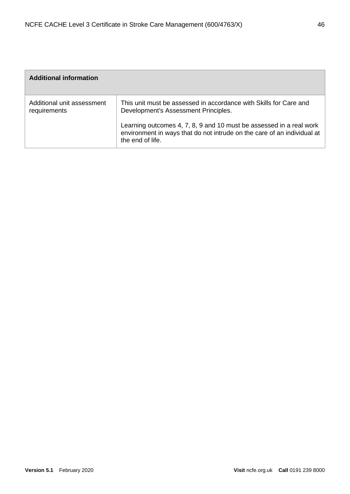| <b>Additional information</b>              |                                                                                                                                                                                                                                                                                 |
|--------------------------------------------|---------------------------------------------------------------------------------------------------------------------------------------------------------------------------------------------------------------------------------------------------------------------------------|
| Additional unit assessment<br>requirements | This unit must be assessed in accordance with Skills for Care and<br>Development's Assessment Principles.<br>Learning outcomes 4, 7, 8, 9 and 10 must be assessed in a real work<br>environment in ways that do not intrude on the care of an individual at<br>the end of life. |
|                                            |                                                                                                                                                                                                                                                                                 |

 $\sim$ 

×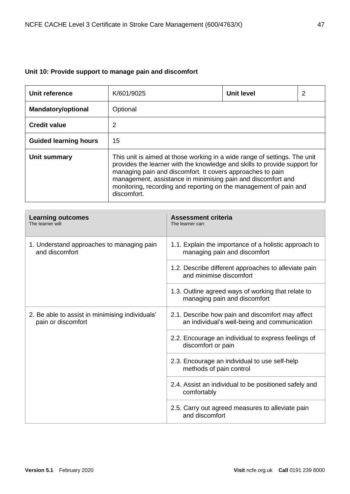## **Unit 10: Provide support to manage pain and discomfort**

| Unit reference               | K/601/9025                                                                                                                                                                                                                                                                                                                                                               | <b>Unit level</b> | 2 |
|------------------------------|--------------------------------------------------------------------------------------------------------------------------------------------------------------------------------------------------------------------------------------------------------------------------------------------------------------------------------------------------------------------------|-------------------|---|
| <b>Mandatory/optional</b>    | Optional                                                                                                                                                                                                                                                                                                                                                                 |                   |   |
| <b>Credit value</b>          | 2                                                                                                                                                                                                                                                                                                                                                                        |                   |   |
| <b>Guided learning hours</b> | 15                                                                                                                                                                                                                                                                                                                                                                       |                   |   |
| Unit summary                 | This unit is aimed at those working in a wide range of settings. The unit<br>provides the learner with the knowledge and skills to provide support for<br>managing pain and discomfort. It covers approaches to pain<br>management, assistance in minimising pain and discomfort and<br>monitoring, recording and reporting on the management of pain and<br>discomfort. |                   |   |

| <b>Learning outcomes</b><br>The learner will:                         | <b>Assessment criteria</b><br>The learner can:                                                   |
|-----------------------------------------------------------------------|--------------------------------------------------------------------------------------------------|
| 1. Understand approaches to managing pain<br>and discomfort           | 1.1. Explain the importance of a holistic approach to<br>managing pain and discomfort            |
|                                                                       | 1.2. Describe different approaches to alleviate pain<br>and minimise discomfort                  |
|                                                                       | 1.3. Outline agreed ways of working that relate to<br>managing pain and discomfort               |
| 2. Be able to assist in minimising individuals'<br>pain or discomfort | 2.1. Describe how pain and discomfort may affect<br>an individual's well-being and communication |
|                                                                       | 2.2. Encourage an individual to express feelings of<br>discomfort or pain                        |
|                                                                       | 2.3. Encourage an individual to use self-help<br>methods of pain control                         |
|                                                                       | 2.4. Assist an individual to be positioned safely and<br>comfortably                             |
|                                                                       | 2.5. Carry out agreed measures to alleviate pain<br>and discomfort                               |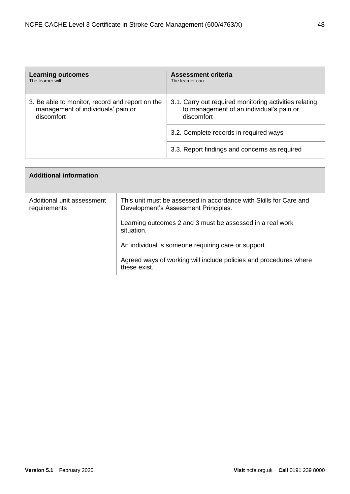| <b>Learning outcomes</b>                        | <b>Assessment criteria</b>                             |
|-------------------------------------------------|--------------------------------------------------------|
| The learner will:                               | The learner can:                                       |
| 3. Be able to monitor, record and report on the | 3.1. Carry out required monitoring activities relating |
| management of individuals' pain or              | to management of an individual's pain or               |
| discomfort                                      | discomfort                                             |
|                                                 | 3.2. Complete records in required ways                 |
|                                                 | 3.3. Report findings and concerns as required          |

| <b>Additional information</b>              |                                                                                                                                          |
|--------------------------------------------|------------------------------------------------------------------------------------------------------------------------------------------|
| Additional unit assessment<br>requirements | This unit must be assessed in accordance with Skills for Care and<br>Development's Assessment Principles.                                |
|                                            | Learning outcomes 2 and 3 must be assessed in a real work<br>situation.                                                                  |
|                                            | An individual is someone requiring care or support.<br>Agreed ways of working will include policies and procedures where<br>these exist. |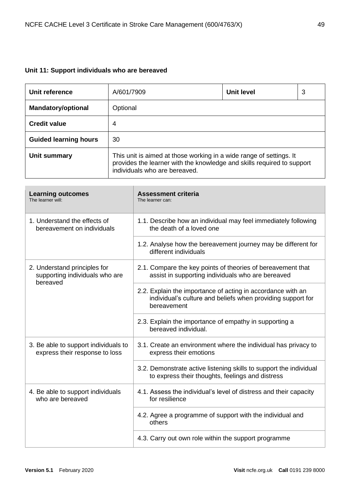# **Unit 11: Support individuals who are bereaved**

| Unit reference               | A/601/7909                                                                                                                                                                     | <b>Unit level</b> | 3 |
|------------------------------|--------------------------------------------------------------------------------------------------------------------------------------------------------------------------------|-------------------|---|
| <b>Mandatory/optional</b>    | Optional                                                                                                                                                                       |                   |   |
| <b>Credit value</b>          | 4                                                                                                                                                                              |                   |   |
| <b>Guided learning hours</b> | 30                                                                                                                                                                             |                   |   |
| Unit summary                 | This unit is aimed at those working in a wide range of settings. It<br>provides the learner with the knowledge and skills required to support<br>individuals who are bereaved. |                   |   |

| <b>Learning outcomes</b><br>The learner will:                              | <b>Assessment criteria</b><br>The learner can:                                                                                            |
|----------------------------------------------------------------------------|-------------------------------------------------------------------------------------------------------------------------------------------|
| 1. Understand the effects of<br>bereavement on individuals                 | 1.1. Describe how an individual may feel immediately following<br>the death of a loved one                                                |
|                                                                            | 1.2. Analyse how the bereavement journey may be different for<br>different individuals                                                    |
| 2. Understand principles for<br>supporting individuals who are<br>bereaved | 2.1. Compare the key points of theories of bereavement that<br>assist in supporting individuals who are bereaved                          |
|                                                                            | 2.2. Explain the importance of acting in accordance with an<br>individual's culture and beliefs when providing support for<br>bereavement |
|                                                                            | 2.3. Explain the importance of empathy in supporting a<br>bereaved individual.                                                            |
| 3. Be able to support individuals to<br>express their response to loss     | 3.1. Create an environment where the individual has privacy to<br>express their emotions                                                  |
|                                                                            | 3.2. Demonstrate active listening skills to support the individual<br>to express their thoughts, feelings and distress                    |
| 4. Be able to support individuals<br>who are bereaved                      | 4.1. Assess the individual's level of distress and their capacity<br>for resilience                                                       |
|                                                                            | 4.2. Agree a programme of support with the individual and<br>others                                                                       |
|                                                                            | 4.3. Carry out own role within the support programme                                                                                      |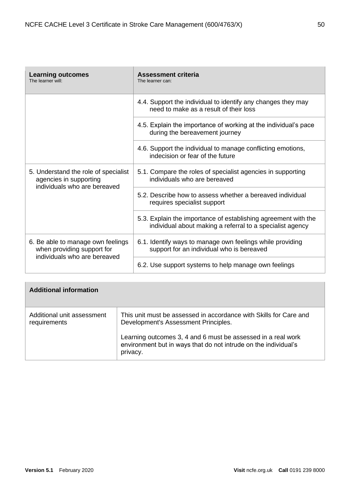| <b>Learning outcomes</b><br>The learner will:                                                  | Assessment criteria<br>The learner can:                                                                                     |
|------------------------------------------------------------------------------------------------|-----------------------------------------------------------------------------------------------------------------------------|
|                                                                                                | 4.4. Support the individual to identify any changes they may<br>need to make as a result of their loss                      |
|                                                                                                | 4.5. Explain the importance of working at the individual's pace<br>during the bereavement journey                           |
|                                                                                                | 4.6. Support the individual to manage conflicting emotions,<br>indecision or fear of the future                             |
| 5. Understand the role of specialist<br>agencies in supporting<br>individuals who are bereaved | 5.1. Compare the roles of specialist agencies in supporting<br>individuals who are bereaved                                 |
|                                                                                                | 5.2. Describe how to assess whether a bereaved individual<br>requires specialist support                                    |
|                                                                                                | 5.3. Explain the importance of establishing agreement with the<br>individual about making a referral to a specialist agency |
| 6. Be able to manage own feelings<br>when providing support for                                | 6.1. Identify ways to manage own feelings while providing<br>support for an individual who is bereaved                      |
| individuals who are bereaved                                                                   | 6.2. Use support systems to help manage own feelings                                                                        |

| <b>Additional information</b>              |                                                                                                                                                                                                                                                          |
|--------------------------------------------|----------------------------------------------------------------------------------------------------------------------------------------------------------------------------------------------------------------------------------------------------------|
| Additional unit assessment<br>requirements | This unit must be assessed in accordance with Skills for Care and<br>Development's Assessment Principles.<br>Learning outcomes 3, 4 and 6 must be assessed in a real work<br>environment but in ways that do not intrude on the individual's<br>privacy. |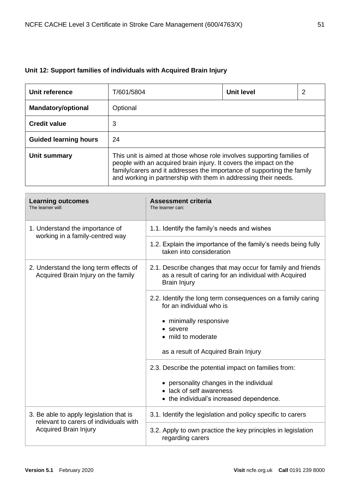# **Unit 12: Support families of individuals with Acquired Brain Injury**

| Unit reference               | T/601/5804                                                                                                                                                                                                                                                                               | <b>Unit level</b> | 2 |
|------------------------------|------------------------------------------------------------------------------------------------------------------------------------------------------------------------------------------------------------------------------------------------------------------------------------------|-------------------|---|
| <b>Mandatory/optional</b>    | Optional                                                                                                                                                                                                                                                                                 |                   |   |
| <b>Credit value</b>          | 3                                                                                                                                                                                                                                                                                        |                   |   |
| <b>Guided learning hours</b> | 24                                                                                                                                                                                                                                                                                       |                   |   |
| Unit summary                 | This unit is aimed at those whose role involves supporting families of<br>people with an acquired brain injury. It covers the impact on the<br>family/carers and it addresses the importance of supporting the family<br>and working in partnership with them in addressing their needs. |                   |   |

| <b>Learning outcomes</b><br>The learner will:                                     | <b>Assessment criteria</b><br>The learner can:                                                                                              |
|-----------------------------------------------------------------------------------|---------------------------------------------------------------------------------------------------------------------------------------------|
| 1. Understand the importance of<br>working in a family-centred way                | 1.1. Identify the family's needs and wishes                                                                                                 |
|                                                                                   | 1.2. Explain the importance of the family's needs being fully<br>taken into consideration                                                   |
| 2. Understand the long term effects of<br>Acquired Brain Injury on the family     | 2.1. Describe changes that may occur for family and friends<br>as a result of caring for an individual with Acquired<br><b>Brain Injury</b> |
|                                                                                   | 2.2. Identify the long term consequences on a family caring<br>for an individual who is                                                     |
|                                                                                   | • minimally responsive                                                                                                                      |
|                                                                                   | • severe<br>• mild to moderate                                                                                                              |
|                                                                                   | as a result of Acquired Brain Injury                                                                                                        |
|                                                                                   | 2.3. Describe the potential impact on families from:                                                                                        |
|                                                                                   | • personality changes in the individual                                                                                                     |
|                                                                                   | • lack of self awareness<br>• the individual's increased dependence.                                                                        |
| 3. Be able to apply legislation that is<br>relevant to carers of individuals with | 3.1. Identify the legislation and policy specific to carers                                                                                 |
| <b>Acquired Brain Injury</b>                                                      | 3.2. Apply to own practice the key principles in legislation<br>regarding carers                                                            |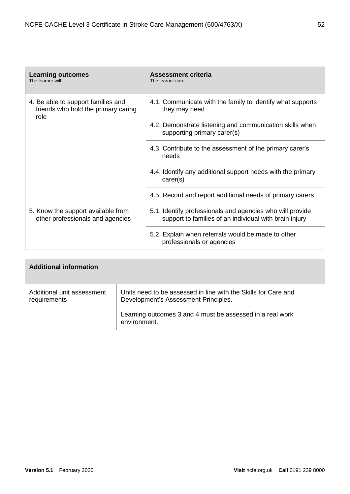| <b>Learning outcomes</b><br>The learner will:                                     | <b>Assessment criteria</b><br>The learner can:                                                                      |
|-----------------------------------------------------------------------------------|---------------------------------------------------------------------------------------------------------------------|
| 4. Be able to support families and<br>friends who hold the primary caring<br>role | 4.1. Communicate with the family to identify what supports<br>they may need                                         |
|                                                                                   | 4.2. Demonstrate listening and communication skills when<br>supporting primary carer(s)                             |
|                                                                                   | 4.3. Contribute to the assessment of the primary carer's<br>needs                                                   |
|                                                                                   | 4.4. Identify any additional support needs with the primary<br>care(s)                                              |
|                                                                                   | 4.5. Record and report additional needs of primary carers                                                           |
| 5. Know the support available from<br>other professionals and agencies            | 5.1. Identify professionals and agencies who will provide<br>support to families of an individual with brain injury |
|                                                                                   | 5.2. Explain when referrals would be made to other<br>professionals or agencies                                     |

| <b>Additional information</b>              |                                                                                                        |
|--------------------------------------------|--------------------------------------------------------------------------------------------------------|
| Additional unit assessment<br>requirements | Units need to be assessed in line with the Skills for Care and<br>Development's Assessment Principles. |
|                                            | Learning outcomes 3 and 4 must be assessed in a real work<br>environment.                              |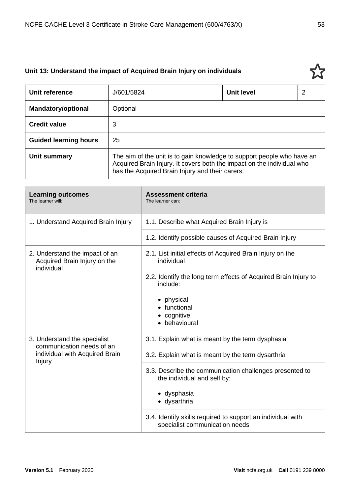## **Unit 13: Understand the impact of Acquired Brain Injury on individuals**

| Unit reference               | J/601/5824                                                                                                                                                                                          | <b>Unit level</b> | 2 |
|------------------------------|-----------------------------------------------------------------------------------------------------------------------------------------------------------------------------------------------------|-------------------|---|
| <b>Mandatory/optional</b>    | Optional                                                                                                                                                                                            |                   |   |
| <b>Credit value</b>          | 3                                                                                                                                                                                                   |                   |   |
| <b>Guided learning hours</b> | 25                                                                                                                                                                                                  |                   |   |
| Unit summary                 | The aim of the unit is to gain knowledge to support people who have an<br>Acquired Brain Injury. It covers both the impact on the individual who<br>has the Acquired Brain Injury and their carers. |                   |   |

| <b>Learning outcomes</b><br>The learner will:                  | <b>Assessment criteria</b><br>The learner can:                                                |
|----------------------------------------------------------------|-----------------------------------------------------------------------------------------------|
| 1. Understand Acquired Brain Injury                            | 1.1. Describe what Acquired Brain Injury is                                                   |
|                                                                | 1.2. Identify possible causes of Acquired Brain Injury                                        |
| 2. Understand the impact of an<br>Acquired Brain Injury on the | 2.1. List initial effects of Acquired Brain Injury on the<br>individual                       |
| individual                                                     | 2.2. Identify the long term effects of Acquired Brain Injury to<br>include:                   |
|                                                                | • physical<br>• functional                                                                    |
|                                                                | • cognitive<br>• behavioural                                                                  |
| 3. Understand the specialist<br>communication needs of an      | 3.1. Explain what is meant by the term dysphasia                                              |
| individual with Acquired Brain<br>Injury                       | 3.2. Explain what is meant by the term dysarthria                                             |
|                                                                | 3.3. Describe the communication challenges presented to<br>the individual and self by:        |
|                                                                | • dysphasia<br>· dysarthria                                                                   |
|                                                                | 3.4. Identify skills required to support an individual with<br>specialist communication needs |

ኢን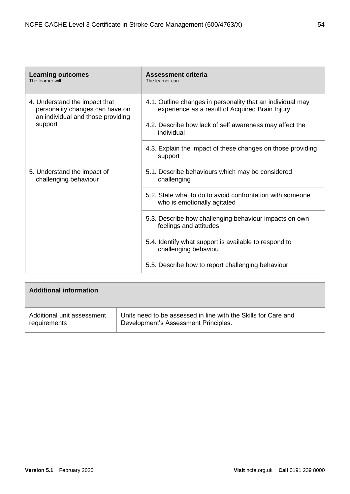| <b>Learning outcomes</b><br>The learner will:                                                         | <b>Assessment criteria</b><br>The learner can:                                                                |
|-------------------------------------------------------------------------------------------------------|---------------------------------------------------------------------------------------------------------------|
| 4. Understand the impact that<br>personality changes can have on<br>an individual and those providing | 4.1. Outline changes in personality that an individual may<br>experience as a result of Acquired Brain Injury |
| support                                                                                               | 4.2. Describe how lack of self awareness may affect the<br>individual                                         |
|                                                                                                       | 4.3. Explain the impact of these changes on those providing<br>support                                        |
| 5. Understand the impact of<br>challenging behaviour                                                  | 5.1. Describe behaviours which may be considered<br>challenging                                               |
|                                                                                                       | 5.2. State what to do to avoid confrontation with someone<br>who is emotionally agitated                      |
|                                                                                                       | 5.3. Describe how challenging behaviour impacts on own<br>feelings and attitudes                              |
|                                                                                                       | 5.4. Identify what support is available to respond to<br>challenging behaviou                                 |
|                                                                                                       | 5.5. Describe how to report challenging behaviour                                                             |

| <b>Additional information</b> |                                                                |
|-------------------------------|----------------------------------------------------------------|
| Additional unit assessment    | Units need to be assessed in line with the Skills for Care and |
| requirements                  | Development's Assessment Principles.                           |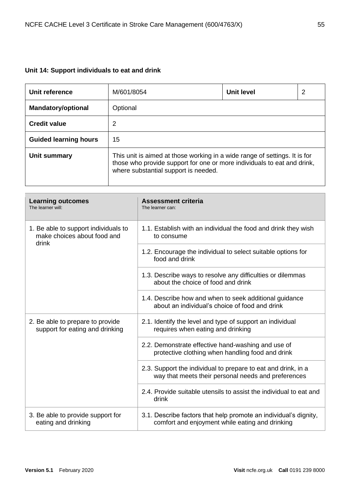## **Unit 14: Support individuals to eat and drink**

| Unit reference               | M/601/8054                                                                                                                                                                                    | Unit level | 2 |
|------------------------------|-----------------------------------------------------------------------------------------------------------------------------------------------------------------------------------------------|------------|---|
| <b>Mandatory/optional</b>    | Optional                                                                                                                                                                                      |            |   |
| <b>Credit value</b>          | 2                                                                                                                                                                                             |            |   |
| <b>Guided learning hours</b> | 15                                                                                                                                                                                            |            |   |
| Unit summary                 | This unit is aimed at those working in a wide range of settings. It is for<br>those who provide support for one or more individuals to eat and drink,<br>where substantial support is needed. |            |   |

| <b>Learning outcomes</b><br>The learner will:                                | <b>Assessment criteria</b><br>The learner can:                                                                       |
|------------------------------------------------------------------------------|----------------------------------------------------------------------------------------------------------------------|
| 1. Be able to support individuals to<br>make choices about food and<br>drink | 1.1. Establish with an individual the food and drink they wish<br>to consume                                         |
|                                                                              | 1.2. Encourage the individual to select suitable options for<br>food and drink                                       |
|                                                                              | 1.3. Describe ways to resolve any difficulties or dilemmas<br>about the choice of food and drink                     |
|                                                                              | 1.4. Describe how and when to seek additional guidance<br>about an individual's choice of food and drink             |
| 2. Be able to prepare to provide<br>support for eating and drinking          | 2.1. Identify the level and type of support an individual<br>requires when eating and drinking                       |
|                                                                              | 2.2. Demonstrate effective hand-washing and use of<br>protective clothing when handling food and drink               |
|                                                                              | 2.3. Support the individual to prepare to eat and drink, in a<br>way that meets their personal needs and preferences |
|                                                                              | 2.4. Provide suitable utensils to assist the individual to eat and<br>drink                                          |
| 3. Be able to provide support for<br>eating and drinking                     | 3.1. Describe factors that help promote an individual's dignity,<br>comfort and enjoyment while eating and drinking  |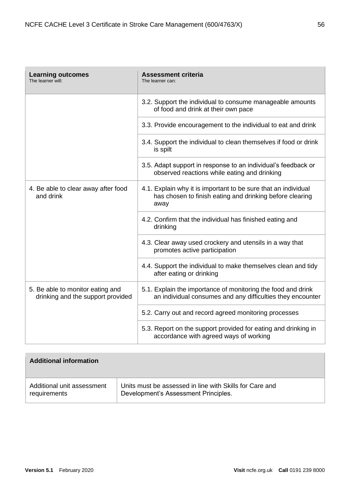| <b>Learning outcomes</b><br>The learner will:                         | <b>Assessment criteria</b><br>The learner can:                                                                                     |
|-----------------------------------------------------------------------|------------------------------------------------------------------------------------------------------------------------------------|
|                                                                       | 3.2. Support the individual to consume manageable amounts<br>of food and drink at their own pace                                   |
|                                                                       | 3.3. Provide encouragement to the individual to eat and drink                                                                      |
|                                                                       | 3.4. Support the individual to clean themselves if food or drink<br>is spilt                                                       |
|                                                                       | 3.5. Adapt support in response to an individual's feedback or<br>observed reactions while eating and drinking                      |
| 4. Be able to clear away after food<br>and drink                      | 4.1. Explain why it is important to be sure that an individual<br>has chosen to finish eating and drinking before clearing<br>away |
|                                                                       | 4.2. Confirm that the individual has finished eating and<br>drinking                                                               |
|                                                                       | 4.3. Clear away used crockery and utensils in a way that<br>promotes active participation                                          |
|                                                                       | 4.4. Support the individual to make themselves clean and tidy<br>after eating or drinking                                          |
| 5. Be able to monitor eating and<br>drinking and the support provided | 5.1. Explain the importance of monitoring the food and drink<br>an individual consumes and any difficulties they encounter         |
|                                                                       | 5.2. Carry out and record agreed monitoring processes                                                                              |
|                                                                       | 5.3. Report on the support provided for eating and drinking in<br>accordance with agreed ways of working                           |

| <b>Additional information</b> |                                                         |
|-------------------------------|---------------------------------------------------------|
| Additional unit assessment    | Units must be assessed in line with Skills for Care and |
| requirements                  | Development's Assessment Principles.                    |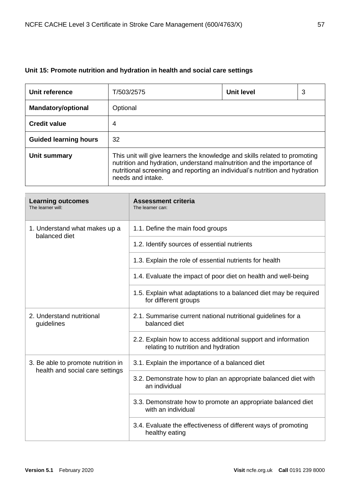# **Unit 15: Promote nutrition and hydration in health and social care settings**

| Unit reference               | T/503/2575                                                                                                                                                                                                                                               | Unit level | 3 |
|------------------------------|----------------------------------------------------------------------------------------------------------------------------------------------------------------------------------------------------------------------------------------------------------|------------|---|
| <b>Mandatory/optional</b>    | Optional                                                                                                                                                                                                                                                 |            |   |
| <b>Credit value</b>          | 4                                                                                                                                                                                                                                                        |            |   |
| <b>Guided learning hours</b> | 32                                                                                                                                                                                                                                                       |            |   |
| Unit summary                 | This unit will give learners the knowledge and skills related to promoting<br>nutrition and hydration, understand malnutrition and the importance of<br>nutritional screening and reporting an individual's nutrition and hydration<br>needs and intake. |            |   |

| <b>Learning outcomes</b><br>The learner will:                         | <b>Assessment criteria</b><br>The learner can:                                                       |
|-----------------------------------------------------------------------|------------------------------------------------------------------------------------------------------|
| 1. Understand what makes up a<br>balanced diet                        | 1.1. Define the main food groups                                                                     |
|                                                                       | 1.2. Identify sources of essential nutrients                                                         |
|                                                                       | 1.3. Explain the role of essential nutrients for health                                              |
|                                                                       | 1.4. Evaluate the impact of poor diet on health and well-being                                       |
|                                                                       | 1.5. Explain what adaptations to a balanced diet may be required<br>for different groups             |
| 2. Understand nutritional<br>guidelines                               | 2.1. Summarise current national nutritional guidelines for a<br>balanced diet                        |
|                                                                       | 2.2. Explain how to access additional support and information<br>relating to nutrition and hydration |
| 3. Be able to promote nutrition in<br>health and social care settings | 3.1. Explain the importance of a balanced diet                                                       |
|                                                                       | 3.2. Demonstrate how to plan an appropriate balanced diet with<br>an individual                      |
|                                                                       | 3.3. Demonstrate how to promote an appropriate balanced diet<br>with an individual                   |
|                                                                       | 3.4. Evaluate the effectiveness of different ways of promoting<br>healthy eating                     |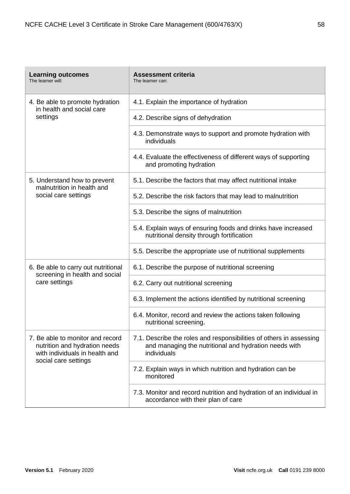| <b>Learning outcomes</b><br>The learner will:                                                                               | <b>Assessment criteria</b><br>The learner can:                                                                                              |
|-----------------------------------------------------------------------------------------------------------------------------|---------------------------------------------------------------------------------------------------------------------------------------------|
| 4. Be able to promote hydration<br>in health and social care<br>settings                                                    | 4.1. Explain the importance of hydration                                                                                                    |
|                                                                                                                             | 4.2. Describe signs of dehydration                                                                                                          |
|                                                                                                                             | 4.3. Demonstrate ways to support and promote hydration with<br>individuals                                                                  |
|                                                                                                                             | 4.4. Evaluate the effectiveness of different ways of supporting<br>and promoting hydration                                                  |
| 5. Understand how to prevent<br>malnutrition in health and                                                                  | 5.1. Describe the factors that may affect nutritional intake                                                                                |
| social care settings                                                                                                        | 5.2. Describe the risk factors that may lead to malnutrition                                                                                |
|                                                                                                                             | 5.3. Describe the signs of malnutrition                                                                                                     |
|                                                                                                                             | 5.4. Explain ways of ensuring foods and drinks have increased<br>nutritional density through fortification                                  |
|                                                                                                                             | 5.5. Describe the appropriate use of nutritional supplements                                                                                |
| 6. Be able to carry out nutritional<br>screening in health and social                                                       | 6.1. Describe the purpose of nutritional screening                                                                                          |
| care settings                                                                                                               | 6.2. Carry out nutritional screening                                                                                                        |
|                                                                                                                             | 6.3. Implement the actions identified by nutritional screening                                                                              |
|                                                                                                                             | 6.4. Monitor, record and review the actions taken following<br>nutritional screening.                                                       |
| 7. Be able to monitor and record<br>nutrition and hydration needs<br>with individuals in health and<br>social care settings | 7.1. Describe the roles and responsibilities of others in assessing<br>and managing the nutritional and hydration needs with<br>individuals |
|                                                                                                                             | 7.2. Explain ways in which nutrition and hydration can be<br>monitored                                                                      |
|                                                                                                                             | 7.3. Monitor and record nutrition and hydration of an individual in<br>accordance with their plan of care                                   |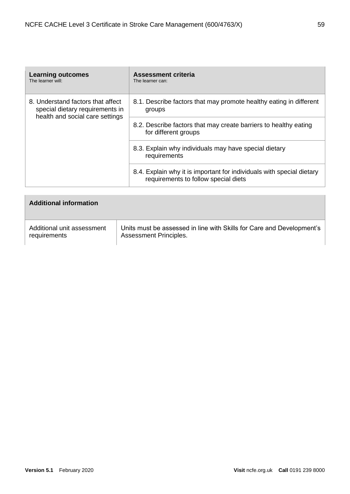| <b>Learning outcomes</b><br>The learner will:                                                           | Assessment criteria<br>The learner can:                                                                       |
|---------------------------------------------------------------------------------------------------------|---------------------------------------------------------------------------------------------------------------|
| 8. Understand factors that affect<br>special dietary requirements in<br>health and social care settings | 8.1. Describe factors that may promote healthy eating in different<br>groups                                  |
|                                                                                                         | 8.2. Describe factors that may create barriers to healthy eating<br>for different groups                      |
|                                                                                                         | 8.3. Explain why individuals may have special dietary<br>requirements                                         |
|                                                                                                         | 8.4. Explain why it is important for individuals with special dietary<br>requirements to follow special diets |

| <b>Additional information</b> |                                                                       |
|-------------------------------|-----------------------------------------------------------------------|
| Additional unit assessment    | Units must be assessed in line with Skills for Care and Development's |
| requirements                  | <b>Assessment Principles.</b>                                         |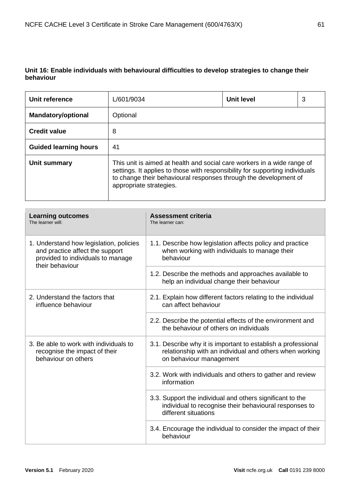### **Unit 16: Enable individuals with behavioural difficulties to develop strategies to change their behaviour**

| Unit reference               | L/601/9034                                                                                                                                                                                                                                             | Unit level | 3 |
|------------------------------|--------------------------------------------------------------------------------------------------------------------------------------------------------------------------------------------------------------------------------------------------------|------------|---|
| <b>Mandatory/optional</b>    | Optional                                                                                                                                                                                                                                               |            |   |
| <b>Credit value</b>          | 8                                                                                                                                                                                                                                                      |            |   |
| <b>Guided learning hours</b> | 41                                                                                                                                                                                                                                                     |            |   |
| Unit summary                 | This unit is aimed at health and social care workers in a wide range of<br>settings. It applies to those with responsibility for supporting individuals<br>to change their behavioural responses through the development of<br>appropriate strategies. |            |   |

| <b>Learning outcomes</b><br>The learner will:                                                                                      | <b>Assessment criteria</b><br>The learner can:                                                                                                      |
|------------------------------------------------------------------------------------------------------------------------------------|-----------------------------------------------------------------------------------------------------------------------------------------------------|
| 1. Understand how legislation, policies<br>and practice affect the support<br>provided to individuals to manage<br>their behaviour | 1.1. Describe how legislation affects policy and practice<br>when working with individuals to manage their<br>behaviour                             |
|                                                                                                                                    | 1.2. Describe the methods and approaches available to<br>help an individual change their behaviour                                                  |
| 2. Understand the factors that<br>influence behaviour                                                                              | 2.1. Explain how different factors relating to the individual<br>can affect behaviour                                                               |
|                                                                                                                                    | 2.2. Describe the potential effects of the environment and<br>the behaviour of others on individuals                                                |
| 3. Be able to work with individuals to<br>recognise the impact of their<br>behaviour on others                                     | 3.1. Describe why it is important to establish a professional<br>relationship with an individual and others when working<br>on behaviour management |
|                                                                                                                                    | 3.2. Work with individuals and others to gather and review<br>information                                                                           |
|                                                                                                                                    | 3.3. Support the individual and others significant to the<br>individual to recognise their behavioural responses to<br>different situations         |
|                                                                                                                                    | 3.4. Encourage the individual to consider the impact of their<br>behaviour                                                                          |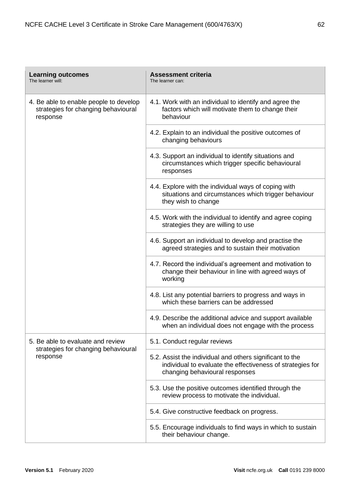| <b>Learning outcomes</b><br>The learner will:                                             | <b>Assessment criteria</b><br>The learner can:                                                                                                           |
|-------------------------------------------------------------------------------------------|----------------------------------------------------------------------------------------------------------------------------------------------------------|
| 4. Be able to enable people to develop<br>strategies for changing behavioural<br>response | 4.1. Work with an individual to identify and agree the<br>factors which will motivate them to change their<br>behaviour                                  |
|                                                                                           | 4.2. Explain to an individual the positive outcomes of<br>changing behaviours                                                                            |
|                                                                                           | 4.3. Support an individual to identify situations and<br>circumstances which trigger specific behavioural<br>responses                                   |
|                                                                                           | 4.4. Explore with the individual ways of coping with<br>situations and circumstances which trigger behaviour<br>they wish to change                      |
|                                                                                           | 4.5. Work with the individual to identify and agree coping<br>strategies they are willing to use                                                         |
|                                                                                           | 4.6. Support an individual to develop and practise the<br>agreed strategies and to sustain their motivation                                              |
|                                                                                           | 4.7. Record the individual's agreement and motivation to<br>change their behaviour in line with agreed ways of<br>working                                |
|                                                                                           | 4.8. List any potential barriers to progress and ways in<br>which these barriers can be addressed                                                        |
|                                                                                           | 4.9. Describe the additional advice and support available<br>when an individual does not engage with the process                                         |
| 5. Be able to evaluate and review<br>strategies for changing behavioural<br>response      | 5.1. Conduct regular reviews                                                                                                                             |
|                                                                                           | 5.2. Assist the individual and others significant to the<br>individual to evaluate the effectiveness of strategies for<br>changing behavioural responses |
|                                                                                           | 5.3. Use the positive outcomes identified through the<br>review process to motivate the individual.                                                      |
|                                                                                           | 5.4. Give constructive feedback on progress.                                                                                                             |
|                                                                                           | 5.5. Encourage individuals to find ways in which to sustain<br>their behaviour change.                                                                   |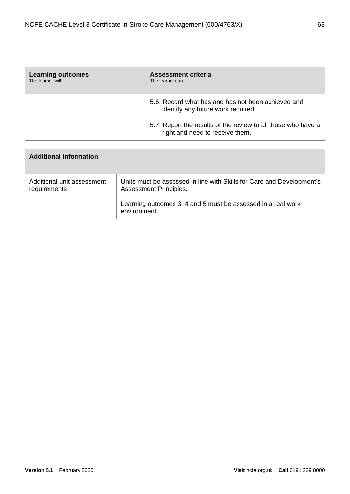| <b>Learning outcomes</b><br>The learner will: | <b>Assessment criteria</b><br>The learner can:                                                   |
|-----------------------------------------------|--------------------------------------------------------------------------------------------------|
|                                               | 5.6. Record what has and has not been achieved and<br>identify any future work required.         |
|                                               | 5.7. Report the results of the review to all those who have a<br>right and need to receive them. |

| <b>Additional information</b>              |                                                                                                        |
|--------------------------------------------|--------------------------------------------------------------------------------------------------------|
| Additional unit assessment<br>requirements | Units must be assessed in line with Skills for Care and Development's<br><b>Assessment Principles.</b> |
|                                            | Learning outcomes 3, 4 and 5 must be assessed in a real work<br>environment.                           |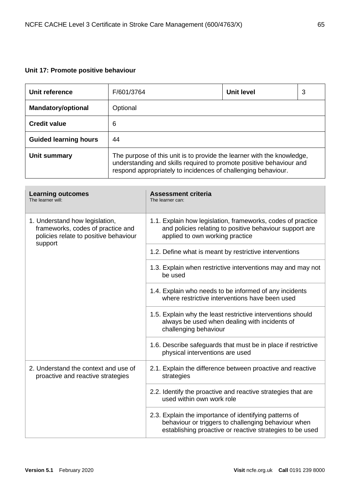# **Unit 17: Promote positive behaviour**

| Unit reference               | F/601/3764                                                                                                                                                                                                     | Unit level | 3 |
|------------------------------|----------------------------------------------------------------------------------------------------------------------------------------------------------------------------------------------------------------|------------|---|
| <b>Mandatory/optional</b>    | Optional                                                                                                                                                                                                       |            |   |
| <b>Credit value</b>          | 6                                                                                                                                                                                                              |            |   |
| <b>Guided learning hours</b> | 44                                                                                                                                                                                                             |            |   |
| Unit summary                 | The purpose of this unit is to provide the learner with the knowledge,<br>understanding and skills required to promote positive behaviour and<br>respond appropriately to incidences of challenging behaviour. |            |   |

| <b>Learning outcomes</b><br>The learner will:                                                                | <b>Assessment criteria</b><br>The learner can:                                                                                                                            |
|--------------------------------------------------------------------------------------------------------------|---------------------------------------------------------------------------------------------------------------------------------------------------------------------------|
| 1. Understand how legislation,<br>frameworks, codes of practice and<br>policies relate to positive behaviour | 1.1. Explain how legislation, frameworks, codes of practice<br>and policies relating to positive behaviour support are<br>applied to own working practice                 |
| support                                                                                                      | 1.2. Define what is meant by restrictive interventions                                                                                                                    |
|                                                                                                              | 1.3. Explain when restrictive interventions may and may not<br>be used                                                                                                    |
|                                                                                                              | 1.4. Explain who needs to be informed of any incidents<br>where restrictive interventions have been used                                                                  |
|                                                                                                              | 1.5. Explain why the least restrictive interventions should<br>always be used when dealing with incidents of<br>challenging behaviour                                     |
|                                                                                                              | 1.6. Describe safeguards that must be in place if restrictive<br>physical interventions are used                                                                          |
| 2. Understand the context and use of<br>proactive and reactive strategies                                    | 2.1. Explain the difference between proactive and reactive<br>strategies                                                                                                  |
|                                                                                                              | 2.2. Identify the proactive and reactive strategies that are<br>used within own work role                                                                                 |
|                                                                                                              | 2.3. Explain the importance of identifying patterns of<br>behaviour or triggers to challenging behaviour when<br>establishing proactive or reactive strategies to be used |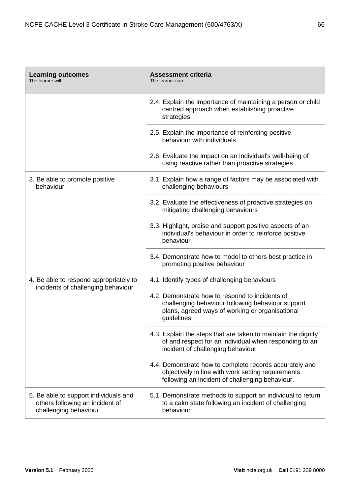| <b>Learning outcomes</b><br>The learner will:                                                     | <b>Assessment criteria</b><br>The learner can:                                                                                                                        |
|---------------------------------------------------------------------------------------------------|-----------------------------------------------------------------------------------------------------------------------------------------------------------------------|
|                                                                                                   | 2.4. Explain the importance of maintaining a person or child<br>centred approach when establishing proactive<br>strategies                                            |
|                                                                                                   | 2.5. Explain the importance of reinforcing positive<br>behaviour with individuals                                                                                     |
|                                                                                                   | 2.6. Evaluate the impact on an individual's well-being of<br>using reactive rather than proactive strategies                                                          |
| 3. Be able to promote positive<br>behaviour                                                       | 3.1. Explain how a range of factors may be associated with<br>challenging behaviours                                                                                  |
|                                                                                                   | 3.2. Evaluate the effectiveness of proactive strategies on<br>mitigating challenging behaviours                                                                       |
|                                                                                                   | 3.3. Highlight, praise and support positive aspects of an<br>individual's behaviour in order to reinforce positive<br>behaviour                                       |
|                                                                                                   | 3.4. Demonstrate how to model to others best practice in<br>promoting positive behaviour                                                                              |
| 4. Be able to respond appropriately to                                                            | 4.1. Identify types of challenging behaviours                                                                                                                         |
| incidents of challenging behaviour                                                                | 4.2. Demonstrate how to respond to incidents of<br>challenging behaviour following behaviour support<br>plans, agreed ways of working or organisational<br>guidelines |
|                                                                                                   | 4.3. Explain the steps that are taken to maintain the dignity<br>of and respect for an individual when responding to an<br>incident of challenging behaviour          |
|                                                                                                   | 4.4. Demonstrate how to complete records accurately and<br>objectively in line with work setting requirements<br>following an incident of challenging behaviour.      |
| 5. Be able to support individuals and<br>others following an incident of<br>challenging behaviour | 5.1. Demonstrate methods to support an individual to return<br>to a calm state following an incident of challenging<br>behaviour                                      |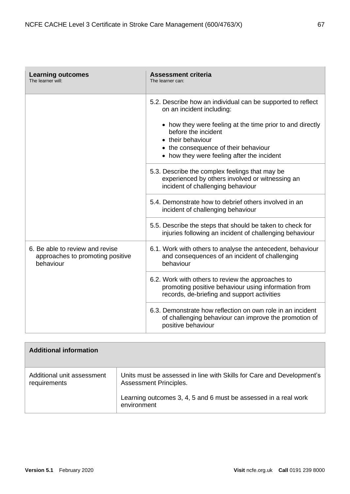| <b>Learning outcomes</b><br>The learner will:                                    | <b>Assessment criteria</b><br>The learner can:                                                                                                          |
|----------------------------------------------------------------------------------|---------------------------------------------------------------------------------------------------------------------------------------------------------|
|                                                                                  | 5.2. Describe how an individual can be supported to reflect<br>on an incident including:                                                                |
|                                                                                  | • how they were feeling at the time prior to and directly<br>before the incident<br>• their behaviour                                                   |
|                                                                                  | • the consequence of their behaviour<br>• how they were feeling after the incident                                                                      |
|                                                                                  | 5.3. Describe the complex feelings that may be<br>experienced by others involved or witnessing an<br>incident of challenging behaviour                  |
|                                                                                  | 5.4. Demonstrate how to debrief others involved in an<br>incident of challenging behaviour                                                              |
|                                                                                  | 5.5. Describe the steps that should be taken to check for<br>injuries following an incident of challenging behaviour                                    |
| 6. Be able to review and revise<br>approaches to promoting positive<br>behaviour | 6.1. Work with others to analyse the antecedent, behaviour<br>and consequences of an incident of challenging<br>behaviour                               |
|                                                                                  | 6.2. Work with others to review the approaches to<br>promoting positive behaviour using information from<br>records, de-briefing and support activities |
|                                                                                  | 6.3. Demonstrate how reflection on own role in an incident<br>of challenging behaviour can improve the promotion of<br>positive behaviour               |

| <b>Additional information</b>              |                                                                                                        |
|--------------------------------------------|--------------------------------------------------------------------------------------------------------|
| Additional unit assessment<br>requirements | Units must be assessed in line with Skills for Care and Development's<br><b>Assessment Principles.</b> |
|                                            | Learning outcomes 3, 4, 5 and 6 must be assessed in a real work<br>environment                         |

 $\overline{\phantom{a}}$ 

F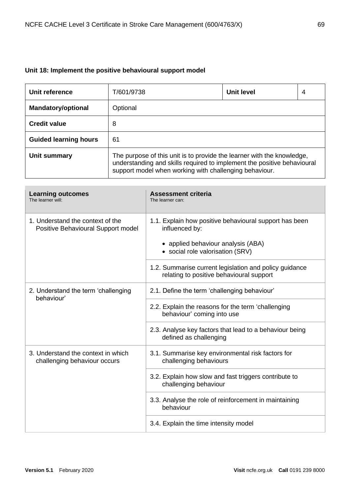## **Unit 18: Implement the positive behavioural support model**

| Unit reference               | T/601/9738                                                                                                                                                                                                  | Unit level | 4 |
|------------------------------|-------------------------------------------------------------------------------------------------------------------------------------------------------------------------------------------------------------|------------|---|
| <b>Mandatory/optional</b>    | Optional                                                                                                                                                                                                    |            |   |
| <b>Credit value</b>          | 8                                                                                                                                                                                                           |            |   |
| <b>Guided learning hours</b> | 61                                                                                                                                                                                                          |            |   |
| Unit summary                 | The purpose of this unit is to provide the learner with the knowledge,<br>understanding and skills required to implement the positive behavioural<br>support model when working with challenging behaviour. |            |   |

| <b>Learning outcomes</b><br>The learner will:                          | <b>Assessment criteria</b><br>The learner can:                                                     |
|------------------------------------------------------------------------|----------------------------------------------------------------------------------------------------|
| 1. Understand the context of the<br>Positive Behavioural Support model | 1.1. Explain how positive behavioural support has been<br>influenced by:                           |
|                                                                        | • applied behaviour analysis (ABA)<br>• social role valorisation (SRV)                             |
|                                                                        | 1.2. Summarise current legislation and policy guidance<br>relating to positive behavioural support |
| 2. Understand the term 'challenging<br>behaviour'                      | 2.1. Define the term 'challenging behaviour'                                                       |
|                                                                        | 2.2. Explain the reasons for the term 'challenging<br>behaviour' coming into use                   |
|                                                                        | 2.3. Analyse key factors that lead to a behaviour being<br>defined as challenging                  |
| 3. Understand the context in which<br>challenging behaviour occurs     | 3.1. Summarise key environmental risk factors for<br>challenging behaviours                        |
|                                                                        | 3.2. Explain how slow and fast triggers contribute to<br>challenging behaviour                     |
|                                                                        | 3.3. Analyse the role of reinforcement in maintaining<br>behaviour                                 |
|                                                                        | 3.4. Explain the time intensity model                                                              |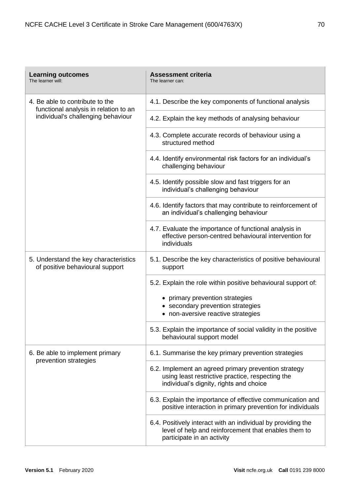| <b>Learning outcomes</b><br>The learner will:                                                                  | <b>Assessment criteria</b><br>The learner can:                                                                                                      |
|----------------------------------------------------------------------------------------------------------------|-----------------------------------------------------------------------------------------------------------------------------------------------------|
| 4. Be able to contribute to the<br>functional analysis in relation to an<br>individual's challenging behaviour | 4.1. Describe the key components of functional analysis                                                                                             |
|                                                                                                                | 4.2. Explain the key methods of analysing behaviour                                                                                                 |
|                                                                                                                | 4.3. Complete accurate records of behaviour using a<br>structured method                                                                            |
|                                                                                                                | 4.4. Identify environmental risk factors for an individual's<br>challenging behaviour                                                               |
|                                                                                                                | 4.5. Identify possible slow and fast triggers for an<br>individual's challenging behaviour                                                          |
|                                                                                                                | 4.6. Identify factors that may contribute to reinforcement of<br>an individual's challenging behaviour                                              |
|                                                                                                                | 4.7. Evaluate the importance of functional analysis in<br>effective person-centred behavioural intervention for<br>individuals                      |
| 5. Understand the key characteristics<br>of positive behavioural support                                       | 5.1. Describe the key characteristics of positive behavioural<br>support                                                                            |
|                                                                                                                | 5.2. Explain the role within positive behavioural support of:                                                                                       |
|                                                                                                                | • primary prevention strategies                                                                                                                     |
|                                                                                                                | • secondary prevention strategies<br>• non-aversive reactive strategies                                                                             |
|                                                                                                                | 5.3. Explain the importance of social validity in the positive<br>behavioural support model                                                         |
| 6. Be able to implement primary<br>prevention strategies                                                       | 6.1. Summarise the key primary prevention strategies                                                                                                |
|                                                                                                                | 6.2. Implement an agreed primary prevention strategy<br>using least restrictive practice, respecting the<br>individual's dignity, rights and choice |
|                                                                                                                | 6.3. Explain the importance of effective communication and<br>positive interaction in primary prevention for individuals                            |
|                                                                                                                | 6.4. Positively interact with an individual by providing the<br>level of help and reinforcement that enables them to<br>participate in an activity  |

'n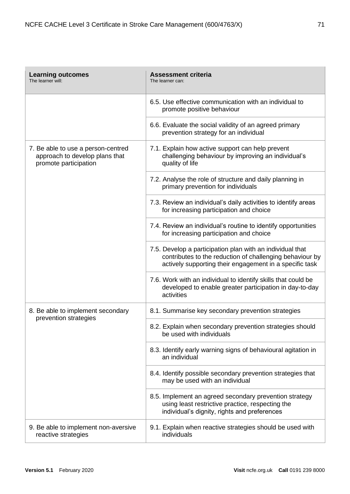| <b>Learning outcomes</b><br>The learner will:                                                 | <b>Assessment criteria</b><br>The learner can:                                                                                                                                   |
|-----------------------------------------------------------------------------------------------|----------------------------------------------------------------------------------------------------------------------------------------------------------------------------------|
|                                                                                               | 6.5. Use effective communication with an individual to<br>promote positive behaviour                                                                                             |
|                                                                                               | 6.6. Evaluate the social validity of an agreed primary<br>prevention strategy for an individual                                                                                  |
| 7. Be able to use a person-centred<br>approach to develop plans that<br>promote participation | 7.1. Explain how active support can help prevent<br>challenging behaviour by improving an individual's<br>quality of life                                                        |
|                                                                                               | 7.2. Analyse the role of structure and daily planning in<br>primary prevention for individuals                                                                                   |
|                                                                                               | 7.3. Review an individual's daily activities to identify areas<br>for increasing participation and choice                                                                        |
|                                                                                               | 7.4. Review an individual's routine to identify opportunities<br>for increasing participation and choice                                                                         |
|                                                                                               | 7.5. Develop a participation plan with an individual that<br>contributes to the reduction of challenging behaviour by<br>actively supporting their engagement in a specific task |
|                                                                                               | 7.6. Work with an individual to identify skills that could be<br>developed to enable greater participation in day-to-day<br>activities                                           |
| 8. Be able to implement secondary<br>prevention strategies                                    | 8.1. Summarise key secondary prevention strategies                                                                                                                               |
|                                                                                               | 8.2. Explain when secondary prevention strategies should<br>be used with individuals                                                                                             |
|                                                                                               | 8.3. Identify early warning signs of behavioural agitation in<br>an individual                                                                                                   |
|                                                                                               | 8.4. Identify possible secondary prevention strategies that<br>may be used with an individual                                                                                    |
|                                                                                               | 8.5. Implement an agreed secondary prevention strategy<br>using least restrictive practice, respecting the<br>individual's dignity, rights and preferences                       |
| 9. Be able to implement non-aversive<br>reactive strategies                                   | 9.1. Explain when reactive strategies should be used with<br>individuals                                                                                                         |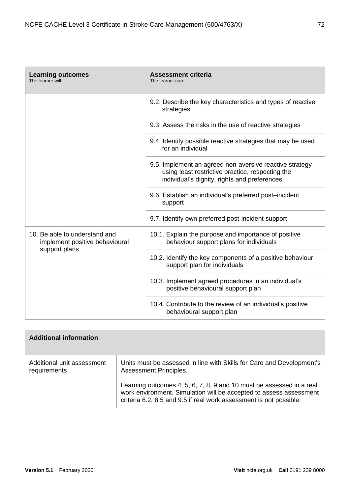| <b>Learning outcomes</b><br>The learner will:                                    | <b>Assessment criteria</b><br>The learner can:                                                                                                              |
|----------------------------------------------------------------------------------|-------------------------------------------------------------------------------------------------------------------------------------------------------------|
|                                                                                  | 9.2. Describe the key characteristics and types of reactive<br>strategies                                                                                   |
|                                                                                  | 9.3. Assess the risks in the use of reactive strategies                                                                                                     |
|                                                                                  | 9.4. Identify possible reactive strategies that may be used<br>for an individual                                                                            |
|                                                                                  | 9.5. Implement an agreed non-aversive reactive strategy<br>using least restrictive practice, respecting the<br>individual's dignity, rights and preferences |
|                                                                                  | 9.6. Establish an individual's preferred post-incident<br>support                                                                                           |
|                                                                                  | 9.7. Identify own preferred post-incident support                                                                                                           |
| 10. Be able to understand and<br>implement positive behavioural<br>support plans | 10.1. Explain the purpose and importance of positive<br>behaviour support plans for individuals                                                             |
|                                                                                  | 10.2. Identify the key components of a positive behaviour<br>support plan for individuals                                                                   |
|                                                                                  | 10.3. Implement agreed procedures in an individual's<br>positive behavioural support plan                                                                   |
|                                                                                  | 10.4. Contribute to the review of an individual's positive<br>behavioural support plan                                                                      |

| <b>Additional information</b>              |                                                                                                                                                                                                                  |
|--------------------------------------------|------------------------------------------------------------------------------------------------------------------------------------------------------------------------------------------------------------------|
| Additional unit assessment<br>requirements | Units must be assessed in line with Skills for Care and Development's<br>Assessment Principles.                                                                                                                  |
|                                            | Learning outcomes 4, 5, 6, 7, 8, 9 and 10 must be assessed in a real<br>work environment. Simulation will be accepted to assess assessment<br>criteria 6.2, 8.5 and 9.5 if real work assessment is not possible. |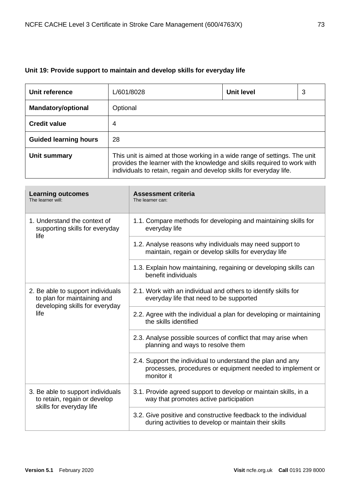# **Unit 19: Provide support to maintain and develop skills for everyday life**

| Unit reference               | L/601/8028                                                                                                                                                                                                                   | <b>Unit level</b> | 3 |
|------------------------------|------------------------------------------------------------------------------------------------------------------------------------------------------------------------------------------------------------------------------|-------------------|---|
| <b>Mandatory/optional</b>    | Optional                                                                                                                                                                                                                     |                   |   |
| <b>Credit value</b>          | 4                                                                                                                                                                                                                            |                   |   |
| <b>Guided learning hours</b> | 28                                                                                                                                                                                                                           |                   |   |
| Unit summary                 | This unit is aimed at those working in a wide range of settings. The unit<br>provides the learner with the knowledge and skills required to work with<br>individuals to retain, regain and develop skills for everyday life. |                   |   |

| <b>Learning outcomes</b><br>The learner will:                                                              | <b>Assessment criteria</b><br>The learner can:                                                                                        |
|------------------------------------------------------------------------------------------------------------|---------------------------------------------------------------------------------------------------------------------------------------|
| 1. Understand the context of<br>supporting skills for everyday<br>life                                     | 1.1. Compare methods for developing and maintaining skills for<br>everyday life                                                       |
|                                                                                                            | 1.2. Analyse reasons why individuals may need support to<br>maintain, regain or develop skills for everyday life                      |
|                                                                                                            | 1.3. Explain how maintaining, regaining or developing skills can<br>benefit individuals                                               |
| 2. Be able to support individuals<br>to plan for maintaining and<br>developing skills for everyday<br>life | 2.1. Work with an individual and others to identify skills for<br>everyday life that need to be supported                             |
|                                                                                                            | 2.2. Agree with the individual a plan for developing or maintaining<br>the skills identified                                          |
|                                                                                                            | 2.3. Analyse possible sources of conflict that may arise when<br>planning and ways to resolve them                                    |
|                                                                                                            | 2.4. Support the individual to understand the plan and any<br>processes, procedures or equipment needed to implement or<br>monitor it |
| 3. Be able to support individuals<br>to retain, regain or develop<br>skills for everyday life              | 3.1. Provide agreed support to develop or maintain skills, in a<br>way that promotes active participation                             |
|                                                                                                            | 3.2. Give positive and constructive feedback to the individual<br>during activities to develop or maintain their skills               |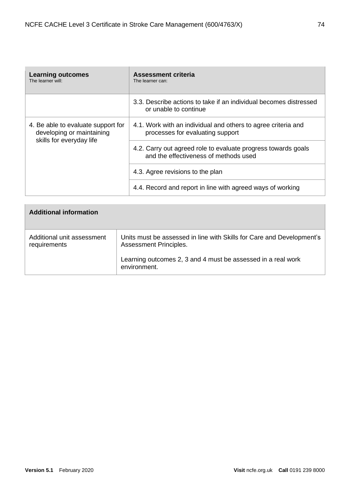| <b>Learning outcomes</b><br>The learner will:                                               | Assessment criteria<br>The learner can:                                                                |
|---------------------------------------------------------------------------------------------|--------------------------------------------------------------------------------------------------------|
|                                                                                             | 3.3. Describe actions to take if an individual becomes distressed<br>or unable to continue             |
| 4. Be able to evaluate support for<br>developing or maintaining<br>skills for everyday life | 4.1. Work with an individual and others to agree criteria and<br>processes for evaluating support      |
|                                                                                             | 4.2. Carry out agreed role to evaluate progress towards goals<br>and the effectiveness of methods used |
|                                                                                             | 4.3. Agree revisions to the plan                                                                       |
|                                                                                             | 4.4. Record and report in line with agreed ways of working                                             |

| <b>Additional information</b>              |                                                                                                 |
|--------------------------------------------|-------------------------------------------------------------------------------------------------|
| Additional unit assessment<br>requirements | Units must be assessed in line with Skills for Care and Development's<br>Assessment Principles. |
|                                            | Learning outcomes 2, 3 and 4 must be assessed in a real work<br>environment.                    |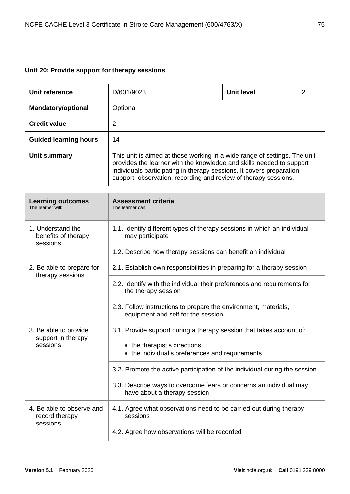# **Unit 20: Provide support for therapy sessions**

| Unit reference               | D/601/9023                                                                                                                                                                                                                                                                                    | <b>Unit level</b> | 2 |
|------------------------------|-----------------------------------------------------------------------------------------------------------------------------------------------------------------------------------------------------------------------------------------------------------------------------------------------|-------------------|---|
| <b>Mandatory/optional</b>    | Optional                                                                                                                                                                                                                                                                                      |                   |   |
| <b>Credit value</b>          | 2                                                                                                                                                                                                                                                                                             |                   |   |
| <b>Guided learning hours</b> | 14                                                                                                                                                                                                                                                                                            |                   |   |
| Unit summary                 | This unit is aimed at those working in a wide range of settings. The unit<br>provides the learner with the knowledge and skills needed to support<br>individuals participating in therapy sessions. It covers preparation,<br>support, observation, recording and review of therapy sessions. |                   |   |

| <b>Learning outcomes</b><br>The learner will:           | <b>Assessment criteria</b><br>The learner can:                                                                                                          |
|---------------------------------------------------------|---------------------------------------------------------------------------------------------------------------------------------------------------------|
| 1. Understand the<br>benefits of therapy<br>sessions    | 1.1. Identify different types of therapy sessions in which an individual<br>may participate                                                             |
|                                                         | 1.2. Describe how therapy sessions can benefit an individual                                                                                            |
| 2. Be able to prepare for<br>therapy sessions           | 2.1. Establish own responsibilities in preparing for a therapy session                                                                                  |
|                                                         | 2.2. Identify with the individual their preferences and requirements for<br>the therapy session                                                         |
|                                                         | 2.3. Follow instructions to prepare the environment, materials,<br>equipment and self for the session.                                                  |
| 3. Be able to provide<br>support in therapy<br>sessions | 3.1. Provide support during a therapy session that takes account of:<br>• the therapist's directions<br>• the individual's preferences and requirements |
|                                                         | 3.2. Promote the active participation of the individual during the session                                                                              |
|                                                         | 3.3. Describe ways to overcome fears or concerns an individual may<br>have about a therapy session                                                      |
| 4. Be able to observe and<br>record therapy<br>sessions | 4.1. Agree what observations need to be carried out during therapy<br>sessions                                                                          |
|                                                         | 4.2. Agree how observations will be recorded                                                                                                            |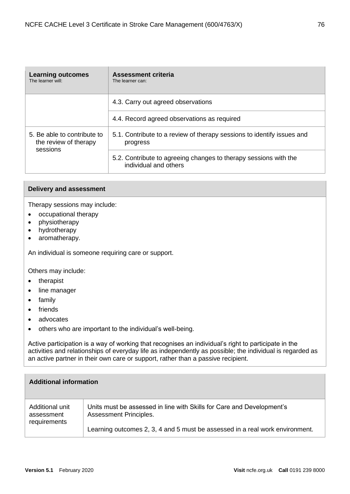| <b>Learning outcomes</b><br>The learner will:                    | Assessment criteria<br>The learner can:                                                   |
|------------------------------------------------------------------|-------------------------------------------------------------------------------------------|
|                                                                  | 4.3. Carry out agreed observations                                                        |
|                                                                  | 4.4. Record agreed observations as required                                               |
| 5. Be able to contribute to<br>the review of therapy<br>sessions | 5.1. Contribute to a review of therapy sessions to identify issues and<br>progress        |
|                                                                  | 5.2. Contribute to agreeing changes to therapy sessions with the<br>individual and others |

### **Delivery and assessment**

Therapy sessions may include:

- occupational therapy
- physiotherapy
- hydrotherapy
- aromatherapy.

An individual is someone requiring care or support.

Others may include:

- therapist
- line manager
- family
- friends
- advocates
- others who are important to the individual's well-being.

Active participation is a way of working that recognises an individual's right to participate in the activities and relationships of everyday life as independently as possible; the individual is regarded as an active partner in their own care or support, rather than a passive recipient.

| <b>Additional information</b>                 |                                                                                                 |
|-----------------------------------------------|-------------------------------------------------------------------------------------------------|
| Additional unit<br>assessment<br>requirements | Units must be assessed in line with Skills for Care and Development's<br>Assessment Principles. |
|                                               | Learning outcomes 2, 3, 4 and 5 must be assessed in a real work environment.                    |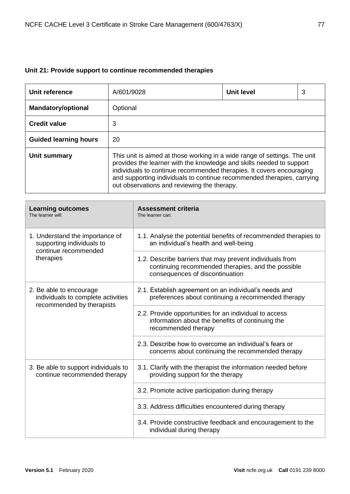# **Unit 21: Provide support to continue recommended therapies**

| Unit reference               | A/601/9028                                                                                                                                                                                                                                                                                                                                         | <b>Unit level</b> | 3 |
|------------------------------|----------------------------------------------------------------------------------------------------------------------------------------------------------------------------------------------------------------------------------------------------------------------------------------------------------------------------------------------------|-------------------|---|
| <b>Mandatory/optional</b>    | Optional                                                                                                                                                                                                                                                                                                                                           |                   |   |
| <b>Credit value</b>          | 3                                                                                                                                                                                                                                                                                                                                                  |                   |   |
| <b>Guided learning hours</b> | 20                                                                                                                                                                                                                                                                                                                                                 |                   |   |
| Unit summary                 | This unit is aimed at those working in a wide range of settings. The unit<br>provides the learner with the knowledge and skills needed to support<br>individuals to continue recommended therapies. It covers encouraging<br>and supporting individuals to continue recommended therapies, carrying<br>out observations and reviewing the therapy. |                   |   |

| <b>Learning outcomes</b><br>The learner will:                                                     | <b>Assessment criteria</b><br>The learner can:                                                                                                    |
|---------------------------------------------------------------------------------------------------|---------------------------------------------------------------------------------------------------------------------------------------------------|
| 1. Understand the importance of<br>supporting individuals to<br>continue recommended<br>therapies | 1.1. Analyse the potential benefits of recommended therapies to<br>an individual's health and well-being                                          |
|                                                                                                   | 1.2. Describe barriers that may prevent individuals from<br>continuing recommended therapies, and the possible<br>consequences of discontinuation |
| 2. Be able to encourage<br>individuals to complete activities                                     | 2.1. Establish agreement on an individual's needs and<br>preferences about continuing a recommended therapy                                       |
| recommended by therapists                                                                         | 2.2. Provide opportunities for an individual to access<br>information about the benefits of continuing the<br>recommended therapy                 |
|                                                                                                   | 2.3. Describe how to overcome an individual's fears or<br>concerns about continuing the recommended therapy                                       |
| 3. Be able to support individuals to<br>continue recommended therapy                              | 3.1. Clarify with the therapist the information needed before<br>providing support for the therapy                                                |
|                                                                                                   | 3.2. Promote active participation during therapy                                                                                                  |
|                                                                                                   | 3.3. Address difficulties encountered during therapy                                                                                              |
|                                                                                                   | 3.4. Provide constructive feedback and encouragement to the<br>individual during therapy                                                          |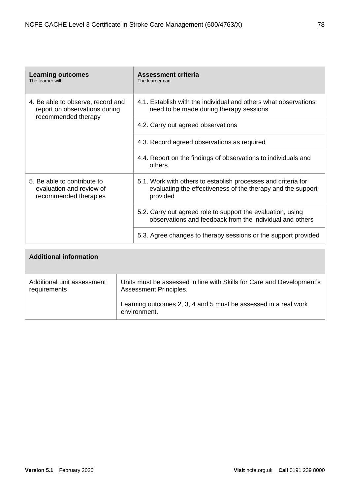| <b>Learning outcomes</b><br>The learner will:                                    | Assessment criteria<br>The learner can:                                                                                                  |
|----------------------------------------------------------------------------------|------------------------------------------------------------------------------------------------------------------------------------------|
| 4. Be able to observe, record and<br>report on observations during               | 4.1. Establish with the individual and others what observations<br>need to be made during therapy sessions                               |
| recommended therapy                                                              | 4.2. Carry out agreed observations                                                                                                       |
|                                                                                  | 4.3. Record agreed observations as required                                                                                              |
|                                                                                  | 4.4. Report on the findings of observations to individuals and<br>others                                                                 |
| 5. Be able to contribute to<br>evaluation and review of<br>recommended therapies | 5.1. Work with others to establish processes and criteria for<br>evaluating the effectiveness of the therapy and the support<br>provided |
|                                                                                  | 5.2. Carry out agreed role to support the evaluation, using<br>observations and feedback from the individual and others                  |
|                                                                                  | 5.3. Agree changes to therapy sessions or the support provided                                                                           |

| <b>Additional information</b>              |                                                                                                 |
|--------------------------------------------|-------------------------------------------------------------------------------------------------|
| Additional unit assessment<br>requirements | Units must be assessed in line with Skills for Care and Development's<br>Assessment Principles. |
|                                            | Learning outcomes 2, 3, 4 and 5 must be assessed in a real work<br>environment.                 |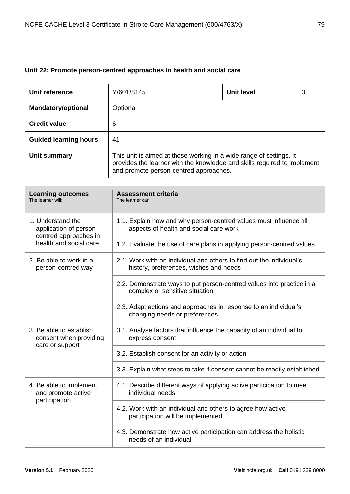# **Unit 22: Promote person-centred approaches in health and social care**

| Unit reference               | Y/601/8145                                                                                                                                                                                | Unit level | 3 |
|------------------------------|-------------------------------------------------------------------------------------------------------------------------------------------------------------------------------------------|------------|---|
| <b>Mandatory/optional</b>    | Optional                                                                                                                                                                                  |            |   |
| <b>Credit value</b>          | 6                                                                                                                                                                                         |            |   |
| <b>Guided learning hours</b> | 41                                                                                                                                                                                        |            |   |
| Unit summary                 | This unit is aimed at those working in a wide range of settings. It<br>provides the learner with the knowledge and skills required to implement<br>and promote person-centred approaches. |            |   |

| <b>Learning outcomes</b><br>The learner will:                                                  | <b>Assessment criteria</b><br>The learner can:                                                                 |
|------------------------------------------------------------------------------------------------|----------------------------------------------------------------------------------------------------------------|
| 1. Understand the<br>application of person-<br>centred approaches in<br>health and social care | 1.1. Explain how and why person-centred values must influence all<br>aspects of health and social care work    |
|                                                                                                | 1.2. Evaluate the use of care plans in applying person-centred values                                          |
| 2. Be able to work in a<br>person-centred way                                                  | 2.1. Work with an individual and others to find out the individual's<br>history, preferences, wishes and needs |
|                                                                                                | 2.2. Demonstrate ways to put person-centred values into practice in a<br>complex or sensitive situation        |
|                                                                                                | 2.3. Adapt actions and approaches in response to an individual's<br>changing needs or preferences              |
| 3. Be able to establish<br>consent when providing<br>care or support                           | 3.1. Analyse factors that influence the capacity of an individual to<br>express consent                        |
|                                                                                                | 3.2. Establish consent for an activity or action                                                               |
|                                                                                                | 3.3. Explain what steps to take if consent cannot be readily established                                       |
| 4. Be able to implement<br>and promote active<br>participation                                 | 4.1. Describe different ways of applying active participation to meet<br>individual needs                      |
|                                                                                                | 4.2. Work with an individual and others to agree how active<br>participation will be implemented               |
|                                                                                                | 4.3. Demonstrate how active participation can address the holistic<br>needs of an individual                   |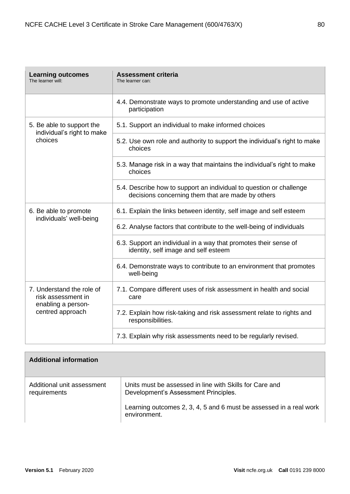| <b>Learning outcomes</b><br>The learner will:                                             | <b>Assessment criteria</b><br>The learner can:                                                                           |
|-------------------------------------------------------------------------------------------|--------------------------------------------------------------------------------------------------------------------------|
|                                                                                           | 4.4. Demonstrate ways to promote understanding and use of active<br>participation                                        |
| 5. Be able to support the<br>individual's right to make<br>choices                        | 5.1. Support an individual to make informed choices                                                                      |
|                                                                                           | 5.2. Use own role and authority to support the individual's right to make<br>choices                                     |
|                                                                                           | 5.3. Manage risk in a way that maintains the individual's right to make<br>choices                                       |
|                                                                                           | 5.4. Describe how to support an individual to question or challenge<br>decisions concerning them that are made by others |
| 6. Be able to promote<br>individuals' well-being                                          | 6.1. Explain the links between identity, self image and self esteem                                                      |
|                                                                                           | 6.2. Analyse factors that contribute to the well-being of individuals                                                    |
|                                                                                           | 6.3. Support an individual in a way that promotes their sense of<br>identity, self image and self esteem                 |
|                                                                                           | 6.4. Demonstrate ways to contribute to an environment that promotes<br>well-being                                        |
| 7. Understand the role of<br>risk assessment in<br>enabling a person-<br>centred approach | 7.1. Compare different uses of risk assessment in health and social<br>care                                              |
|                                                                                           | 7.2. Explain how risk-taking and risk assessment relate to rights and<br>responsibilities.                               |
|                                                                                           | 7.3. Explain why risk assessments need to be regularly revised.                                                          |

| <b>Additional information</b>              |                                                                                                 |
|--------------------------------------------|-------------------------------------------------------------------------------------------------|
| Additional unit assessment<br>requirements | Units must be assessed in line with Skills for Care and<br>Development's Assessment Principles. |
|                                            | Learning outcomes 2, 3, 4, 5 and 6 must be assessed in a real work<br>environment.              |

 $\overline{\phantom{0}}$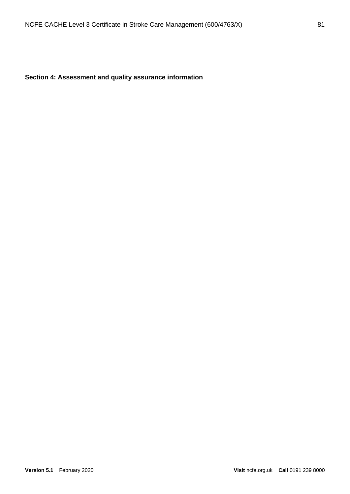# **Section 4: Assessment and quality assurance information**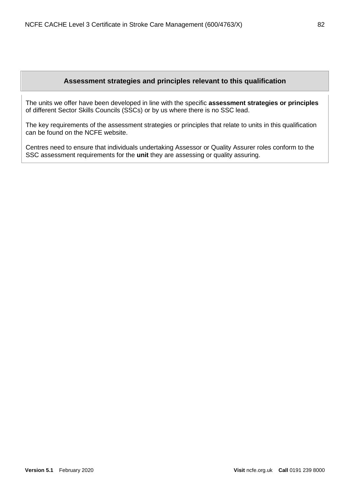## **Assessment strategies and principles relevant to this qualification**

The units we offer have been developed in line with the specific **assessment strategies or principles** of different Sector Skills Councils (SSCs) or by us where there is no SSC lead.

The key requirements of the assessment strategies or principles that relate to units in this qualification can be found on the NCFE website.

Centres need to ensure that individuals undertaking Assessor or Quality Assurer roles conform to the SSC assessment requirements for the **unit** they are assessing or quality assuring.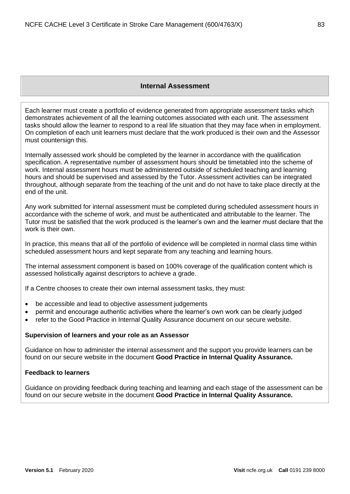#### **Internal Assessment**

Each learner must create a portfolio of evidence generated from appropriate assessment tasks which demonstrates achievement of all the learning outcomes associated with each unit. The assessment tasks should allow the learner to respond to a real life situation that they may face when in employment. On completion of each unit learners must declare that the work produced is their own and the Assessor must countersign this.

Internally assessed work should be completed by the learner in accordance with the qualification specification. A representative number of assessment hours should be timetabled into the scheme of work. Internal assessment hours must be administered outside of scheduled teaching and learning hours and should be supervised and assessed by the Tutor. Assessment activities can be integrated throughout, although separate from the teaching of the unit and do not have to take place directly at the end of the unit.

Any work submitted for internal assessment must be completed during scheduled assessment hours in accordance with the scheme of work, and must be authenticated and attributable to the learner. The Tutor must be satisfied that the work produced is the learner's own and the learner must declare that the work is their own.

In practice, this means that all of the portfolio of evidence will be completed in normal class time within scheduled assessment hours and kept separate from any teaching and learning hours.

The internal assessment component is based on 100% coverage of the qualification content which is assessed holistically against descriptors to achieve a grade.

If a Centre chooses to create their own internal assessment tasks, they must:

- be accessible and lead to objective assessment judgements
- permit and encourage authentic activities where the learner's own work can be clearly judged
- refer to the Good Practice in Internal Quality Assurance document on our secure website.

#### **Supervision of learners and your role as an Assessor**

Guidance on how to administer the internal assessment and the support you provide learners can be found on our secure website in the document **Good Practice in Internal Quality Assurance.**

#### **Feedback to learners**

Guidance on providing feedback during teaching and learning and each stage of the assessment can be found on our secure website in the document **Good Practice in Internal Quality Assurance.**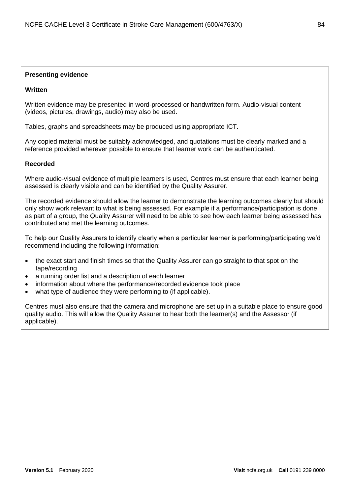## **Presenting evidence**

## **Written**

Written evidence may be presented in word-processed or handwritten form. Audio-visual content (videos, pictures, drawings, audio) may also be used.

Tables, graphs and spreadsheets may be produced using appropriate ICT.

Any copied material must be suitably acknowledged, and quotations must be clearly marked and a reference provided wherever possible to ensure that learner work can be authenticated.

## **Recorded**

Where audio-visual evidence of multiple learners is used, Centres must ensure that each learner being assessed is clearly visible and can be identified by the Quality Assurer.

The recorded evidence should allow the learner to demonstrate the learning outcomes clearly but should only show work relevant to what is being assessed. For example if a performance/participation is done as part of a group, the Quality Assurer will need to be able to see how each learner being assessed has contributed and met the learning outcomes.

To help our Quality Assurers to identify clearly when a particular learner is performing/participating we'd recommend including the following information:

- the exact start and finish times so that the Quality Assurer can go straight to that spot on the tape/recording
- a running order list and a description of each learner
- information about where the performance/recorded evidence took place
- what type of audience they were performing to (if applicable).

Centres must also ensure that the camera and microphone are set up in a suitable place to ensure good quality audio. This will allow the Quality Assurer to hear both the learner(s) and the Assessor (if applicable).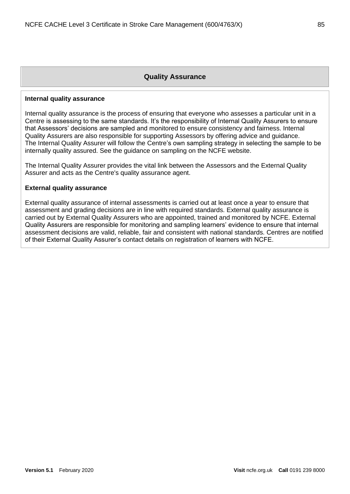### **Quality Assurance**

#### **Internal quality assurance**

Internal quality assurance is the process of ensuring that everyone who assesses a particular unit in a Centre is assessing to the same standards. It's the responsibility of Internal Quality Assurers to ensure that Assessors' decisions are sampled and monitored to ensure consistency and fairness. Internal Quality Assurers are also responsible for supporting Assessors by offering advice and guidance. The Internal Quality Assurer will follow the Centre's own sampling strategy in selecting the sample to be internally quality assured. See the guidance on sampling on the NCFE website.

The Internal Quality Assurer provides the vital link between the Assessors and the External Quality Assurer and acts as the Centre's quality assurance agent.

#### **External quality assurance**

External quality assurance of internal assessments is carried out at least once a year to ensure that assessment and grading decisions are in line with required standards. External quality assurance is carried out by External Quality Assurers who are appointed, trained and monitored by NCFE. External Quality Assurers are responsible for monitoring and sampling learners' evidence to ensure that internal assessment decisions are valid, reliable, fair and consistent with national standards. Centres are notified of their External Quality Assurer's contact details on registration of learners with NCFE.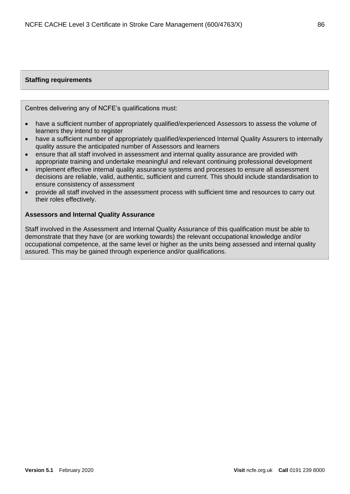## **Staffing requirements**

Centres delivering any of NCFE's qualifications must:

- have a sufficient number of appropriately qualified/experienced Assessors to assess the volume of learners they intend to register
- have a sufficient number of appropriately qualified/experienced Internal Quality Assurers to internally quality assure the anticipated number of Assessors and learners
- ensure that all staff involved in assessment and internal quality assurance are provided with appropriate training and undertake meaningful and relevant continuing professional development
- implement effective internal quality assurance systems and processes to ensure all assessment decisions are reliable, valid, authentic, sufficient and current. This should include standardisation to ensure consistency of assessment
- provide all staff involved in the assessment process with sufficient time and resources to carry out their roles effectively.

#### **Assessors and Internal Quality Assurance**

Staff involved in the Assessment and Internal Quality Assurance of this qualification must be able to demonstrate that they have (or are working towards) the relevant occupational knowledge and/or occupational competence, at the same level or higher as the units being assessed and internal quality assured. This may be gained through experience and/or qualifications.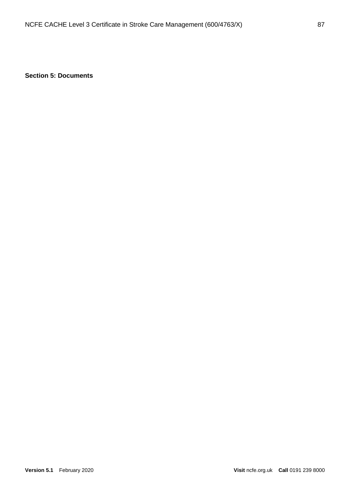**Section 5: Documents**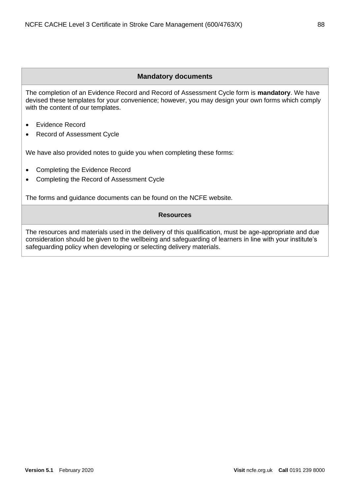## **Mandatory documents**

The completion of an Evidence Record and Record of Assessment Cycle form is **mandatory**. We have devised these templates for your convenience; however, you may design your own forms which comply with the content of our templates.

- Evidence Record
- Record of Assessment Cycle

We have also provided notes to guide you when completing these forms:

- Completing the Evidence Record
- Completing the Record of Assessment Cycle

The forms and guidance documents can be found on the NCFE website.

### **Resources**

The resources and materials used in the delivery of this qualification, must be age-appropriate and due consideration should be given to the wellbeing and safeguarding of learners in line with your institute's safeguarding policy when developing or selecting delivery materials.